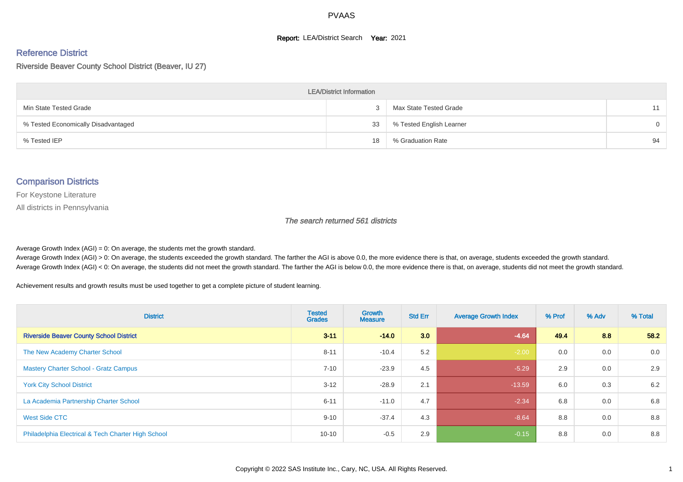#### **Report: LEA/District Search Year: 2021**

# Reference District

Riverside Beaver County School District (Beaver, IU 27)

| <b>LEA/District Information</b>     |    |                          |          |  |  |  |  |  |  |
|-------------------------------------|----|--------------------------|----------|--|--|--|--|--|--|
| Min State Tested Grade              |    | Max State Tested Grade   | 11       |  |  |  |  |  |  |
| % Tested Economically Disadvantaged | 33 | % Tested English Learner | $\Omega$ |  |  |  |  |  |  |
| % Tested IEP                        | 18 | % Graduation Rate        | 94       |  |  |  |  |  |  |

#### Comparison Districts

For Keystone Literature

All districts in Pennsylvania

The search returned 561 districts

Average Growth Index  $(AGI) = 0$ : On average, the students met the growth standard.

Average Growth Index (AGI) > 0: On average, the students exceeded the growth standard. The farther the AGI is above 0.0, the more evidence there is that, on average, students exceeded the growth standard. Average Growth Index (AGI) < 0: On average, the students did not meet the growth standard. The farther the AGI is below 0.0, the more evidence there is that, on average, students did not meet the growth standard.

Achievement results and growth results must be used together to get a complete picture of student learning.

| <b>District</b>                                    | <b>Tested</b><br><b>Grades</b> | Growth<br><b>Measure</b> | <b>Std Err</b> | <b>Average Growth Index</b> | % Prof | % Adv | % Total |
|----------------------------------------------------|--------------------------------|--------------------------|----------------|-----------------------------|--------|-------|---------|
| <b>Riverside Beaver County School District</b>     | $3 - 11$                       | $-14.0$                  | 3.0            | $-4.64$                     | 49.4   | 8.8   | 58.2    |
| The New Academy Charter School                     | $8 - 11$                       | $-10.4$                  | 5.2            | $-2.00$                     | 0.0    | 0.0   | 0.0     |
| <b>Mastery Charter School - Gratz Campus</b>       | $7 - 10$                       | $-23.9$                  | 4.5            | $-5.29$                     | 2.9    | 0.0   | 2.9     |
| <b>York City School District</b>                   | $3 - 12$                       | $-28.9$                  | 2.1            | $-13.59$                    | 6.0    | 0.3   | 6.2     |
| La Academia Partnership Charter School             | $6 - 11$                       | $-11.0$                  | 4.7            | $-2.34$                     | 6.8    | 0.0   | 6.8     |
| West Side CTC                                      | $9 - 10$                       | $-37.4$                  | 4.3            | $-8.64$                     | 8.8    | 0.0   | 8.8     |
| Philadelphia Electrical & Tech Charter High School | $10 - 10$                      | $-0.5$                   | 2.9            | $-0.15$                     | 8.8    | 0.0   | 8.8     |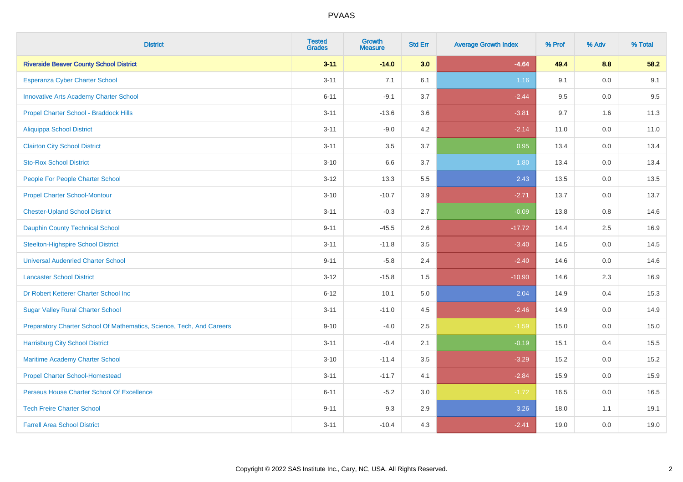| <b>District</b>                                                       | <b>Tested</b><br><b>Grades</b> | <b>Growth</b><br><b>Measure</b> | <b>Std Err</b> | <b>Average Growth Index</b> | % Prof | % Adv   | % Total |
|-----------------------------------------------------------------------|--------------------------------|---------------------------------|----------------|-----------------------------|--------|---------|---------|
| <b>Riverside Beaver County School District</b>                        | $3 - 11$                       | $-14.0$                         | 3.0            | $-4.64$                     | 49.4   | 8.8     | 58.2    |
| Esperanza Cyber Charter School                                        | $3 - 11$                       | 7.1                             | 6.1            | 1.16                        | 9.1    | 0.0     | 9.1     |
| <b>Innovative Arts Academy Charter School</b>                         | $6 - 11$                       | $-9.1$                          | 3.7            | $-2.44$                     | 9.5    | 0.0     | 9.5     |
| Propel Charter School - Braddock Hills                                | $3 - 11$                       | $-13.6$                         | 3.6            | $-3.81$                     | 9.7    | 1.6     | 11.3    |
| <b>Aliquippa School District</b>                                      | $3 - 11$                       | $-9.0$                          | 4.2            | $-2.14$                     | 11.0   | 0.0     | 11.0    |
| <b>Clairton City School District</b>                                  | $3 - 11$                       | 3.5                             | 3.7            | 0.95                        | 13.4   | 0.0     | 13.4    |
| <b>Sto-Rox School District</b>                                        | $3 - 10$                       | 6.6                             | 3.7            | 1.80                        | 13.4   | 0.0     | 13.4    |
| People For People Charter School                                      | $3 - 12$                       | 13.3                            | 5.5            | 2.43                        | 13.5   | 0.0     | 13.5    |
| <b>Propel Charter School-Montour</b>                                  | $3 - 10$                       | $-10.7$                         | 3.9            | $-2.71$                     | 13.7   | 0.0     | 13.7    |
| <b>Chester-Upland School District</b>                                 | $3 - 11$                       | $-0.3$                          | 2.7            | $-0.09$                     | 13.8   | 0.8     | 14.6    |
| <b>Dauphin County Technical School</b>                                | $9 - 11$                       | $-45.5$                         | 2.6            | $-17.72$                    | 14.4   | 2.5     | 16.9    |
| <b>Steelton-Highspire School District</b>                             | $3 - 11$                       | $-11.8$                         | 3.5            | $-3.40$                     | 14.5   | 0.0     | 14.5    |
| <b>Universal Audenried Charter School</b>                             | $9 - 11$                       | $-5.8$                          | 2.4            | $-2.40$                     | 14.6   | 0.0     | 14.6    |
| <b>Lancaster School District</b>                                      | $3 - 12$                       | $-15.8$                         | $1.5$          | $-10.90$                    | 14.6   | 2.3     | 16.9    |
| Dr Robert Ketterer Charter School Inc                                 | $6 - 12$                       | 10.1                            | $5.0\,$        | 2.04                        | 14.9   | 0.4     | 15.3    |
| <b>Sugar Valley Rural Charter School</b>                              | $3 - 11$                       | $-11.0$                         | 4.5            | $-2.46$                     | 14.9   | $0.0\,$ | 14.9    |
| Preparatory Charter School Of Mathematics, Science, Tech, And Careers | $9 - 10$                       | $-4.0$                          | 2.5            | $-1.59$                     | 15.0   | 0.0     | 15.0    |
| <b>Harrisburg City School District</b>                                | $3 - 11$                       | $-0.4$                          | 2.1            | $-0.19$                     | 15.1   | 0.4     | 15.5    |
| Maritime Academy Charter School                                       | $3 - 10$                       | $-11.4$                         | 3.5            | $-3.29$                     | 15.2   | 0.0     | 15.2    |
| <b>Propel Charter School-Homestead</b>                                | $3 - 11$                       | $-11.7$                         | 4.1            | $-2.84$                     | 15.9   | 0.0     | 15.9    |
| Perseus House Charter School Of Excellence                            | $6 - 11$                       | $-5.2$                          | 3.0            | $-1.72$                     | 16.5   | 0.0     | 16.5    |
| <b>Tech Freire Charter School</b>                                     | $9 - 11$                       | 9.3                             | 2.9            | 3.26                        | 18.0   | 1.1     | 19.1    |
| <b>Farrell Area School District</b>                                   | $3 - 11$                       | $-10.4$                         | 4.3            | $-2.41$                     | 19.0   | 0.0     | 19.0    |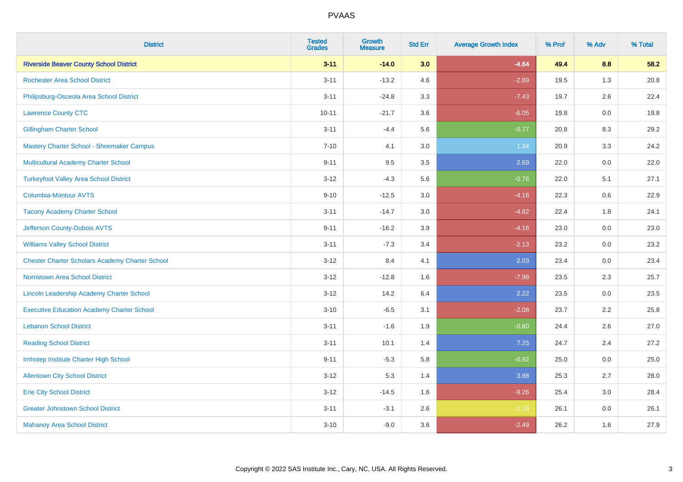| <b>District</b>                                        | <b>Tested</b><br><b>Grades</b> | <b>Growth</b><br><b>Measure</b> | <b>Std Err</b> | <b>Average Growth Index</b> | % Prof | % Adv   | % Total |
|--------------------------------------------------------|--------------------------------|---------------------------------|----------------|-----------------------------|--------|---------|---------|
| <b>Riverside Beaver County School District</b>         | $3 - 11$                       | $-14.0$                         | 3.0            | $-4.64$                     | 49.4   | 8.8     | 58.2    |
| <b>Rochester Area School District</b>                  | $3 - 11$                       | $-13.2$                         | 4.6            | $-2.89$                     | 19.5   | 1.3     | 20.8    |
| Philipsburg-Osceola Area School District               | $3 - 11$                       | $-24.8$                         | 3.3            | $-7.43$                     | 19.7   | 2.6     | 22.4    |
| <b>Lawrence County CTC</b>                             | $10 - 11$                      | $-21.7$                         | 3.6            | $-6.05$                     | 19.8   | 0.0     | 19.8    |
| <b>Gillingham Charter School</b>                       | $3 - 11$                       | $-4.4$                          | 5.6            | $-0.77$                     | 20.8   | 8.3     | 29.2    |
| Mastery Charter School - Shoemaker Campus              | $7 - 10$                       | 4.1                             | 3.0            | 1.34                        | 20.9   | 3.3     | 24.2    |
| Multicultural Academy Charter School                   | $9 - 11$                       | 9.5                             | 3.5            | 2.69                        | 22.0   | $0.0\,$ | 22.0    |
| <b>Turkeyfoot Valley Area School District</b>          | $3 - 12$                       | $-4.3$                          | 5.6            | $-0.76$                     | 22.0   | 5.1     | 27.1    |
| <b>Columbia-Montour AVTS</b>                           | $9 - 10$                       | $-12.5$                         | 3.0            | $-4.16$                     | 22.3   | 0.6     | 22.9    |
| <b>Tacony Academy Charter School</b>                   | $3 - 11$                       | $-14.7$                         | 3.0            | $-4.82$                     | 22.4   | 1.8     | 24.1    |
| Jefferson County-Dubois AVTS                           | $9 - 11$                       | $-16.2$                         | 3.9            | $-4.16$                     | 23.0   | 0.0     | 23.0    |
| <b>Williams Valley School District</b>                 | $3 - 11$                       | $-7.3$                          | 3.4            | $-2.13$                     | 23.2   | 0.0     | 23.2    |
| <b>Chester Charter Scholars Academy Charter School</b> | $3 - 12$                       | 8.4                             | 4.1            | 2.03                        | 23.4   | 0.0     | 23.4    |
| <b>Norristown Area School District</b>                 | $3 - 12$                       | $-12.8$                         | 1.6            | $-7.98$                     | 23.5   | 2.3     | 25.7    |
| Lincoln Leadership Academy Charter School              | $3 - 12$                       | 14.2                            | 6.4            | 2.22                        | 23.5   | 0.0     | 23.5    |
| <b>Executive Education Academy Charter School</b>      | $3 - 10$                       | $-6.5$                          | 3.1            | $-2.08$                     | 23.7   | 2.2     | 25.8    |
| <b>Lebanon School District</b>                         | $3 - 11$                       | $-1.6$                          | 1.9            | $-0.80$                     | 24.4   | 2.6     | 27.0    |
| <b>Reading School District</b>                         | $3 - 11$                       | 10.1                            | 1.4            | 7.25                        | 24.7   | 2.4     | 27.2    |
| Imhotep Institute Charter High School                  | $9 - 11$                       | $-5.3$                          | 5.8            | $-0.92$                     | 25.0   | 0.0     | 25.0    |
| <b>Allentown City School District</b>                  | $3 - 12$                       | 5.3                             | 1.4            | 3.88                        | 25.3   | 2.7     | 28.0    |
| <b>Erie City School District</b>                       | $3 - 12$                       | $-14.5$                         | 1.6            | $-9.26$                     | 25.4   | 3.0     | 28.4    |
| <b>Greater Johnstown School District</b>               | $3 - 11$                       | $-3.1$                          | 2.6            | $-1.19$                     | 26.1   | 0.0     | 26.1    |
| <b>Mahanoy Area School District</b>                    | $3 - 10$                       | $-9.0$                          | 3.6            | $-2.49$                     | 26.2   | 1.6     | 27.9    |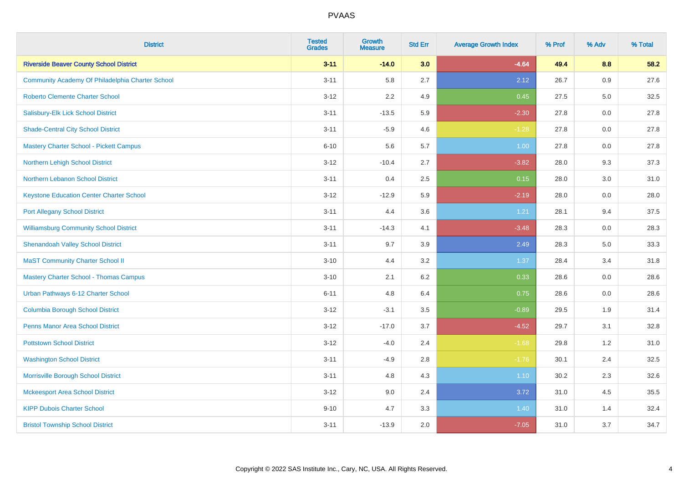| <b>District</b>                                  | <b>Tested</b><br><b>Grades</b> | <b>Growth</b><br><b>Measure</b> | <b>Std Err</b> | <b>Average Growth Index</b> | % Prof | % Adv | % Total |
|--------------------------------------------------|--------------------------------|---------------------------------|----------------|-----------------------------|--------|-------|---------|
| <b>Riverside Beaver County School District</b>   | $3 - 11$                       | $-14.0$                         | 3.0            | $-4.64$                     | 49.4   | 8.8   | 58.2    |
| Community Academy Of Philadelphia Charter School | $3 - 11$                       | 5.8                             | 2.7            | 2.12                        | 26.7   | 0.9   | 27.6    |
| <b>Roberto Clemente Charter School</b>           | $3 - 12$                       | 2.2                             | 4.9            | 0.45                        | 27.5   | 5.0   | 32.5    |
| Salisbury-Elk Lick School District               | $3 - 11$                       | $-13.5$                         | 5.9            | $-2.30$                     | 27.8   | 0.0   | 27.8    |
| <b>Shade-Central City School District</b>        | $3 - 11$                       | $-5.9$                          | 4.6            | $-1.28$                     | 27.8   | 0.0   | 27.8    |
| <b>Mastery Charter School - Pickett Campus</b>   | $6 - 10$                       | 5.6                             | 5.7            | 1.00                        | 27.8   | 0.0   | 27.8    |
| Northern Lehigh School District                  | $3 - 12$                       | $-10.4$                         | 2.7            | $-3.82$                     | 28.0   | 9.3   | 37.3    |
| Northern Lebanon School District                 | $3 - 11$                       | 0.4                             | 2.5            | 0.15                        | 28.0   | 3.0   | 31.0    |
| <b>Keystone Education Center Charter School</b>  | $3 - 12$                       | $-12.9$                         | 5.9            | $-2.19$                     | 28.0   | 0.0   | 28.0    |
| <b>Port Allegany School District</b>             | $3 - 11$                       | 4.4                             | 3.6            | 1.21                        | 28.1   | 9.4   | 37.5    |
| <b>Williamsburg Community School District</b>    | $3 - 11$                       | $-14.3$                         | 4.1            | $-3.48$                     | 28.3   | 0.0   | 28.3    |
| <b>Shenandoah Valley School District</b>         | $3 - 11$                       | 9.7                             | 3.9            | 2.49                        | 28.3   | 5.0   | 33.3    |
| <b>MaST Community Charter School II</b>          | $3 - 10$                       | 4.4                             | 3.2            | 1.37                        | 28.4   | 3.4   | 31.8    |
| <b>Mastery Charter School - Thomas Campus</b>    | $3 - 10$                       | 2.1                             | 6.2            | 0.33                        | 28.6   | 0.0   | 28.6    |
| Urban Pathways 6-12 Charter School               | $6 - 11$                       | 4.8                             | 6.4            | 0.75                        | 28.6   | 0.0   | 28.6    |
| <b>Columbia Borough School District</b>          | $3 - 12$                       | $-3.1$                          | 3.5            | $-0.89$                     | 29.5   | 1.9   | 31.4    |
| <b>Penns Manor Area School District</b>          | $3 - 12$                       | $-17.0$                         | 3.7            | $-4.52$                     | 29.7   | 3.1   | 32.8    |
| <b>Pottstown School District</b>                 | $3 - 12$                       | $-4.0$                          | 2.4            | $-1.68$                     | 29.8   | 1.2   | 31.0    |
| <b>Washington School District</b>                | $3 - 11$                       | $-4.9$                          | 2.8            | $-1.76$                     | 30.1   | 2.4   | 32.5    |
| Morrisville Borough School District              | $3 - 11$                       | 4.8                             | 4.3            | 1.10                        | 30.2   | 2.3   | 32.6    |
| <b>Mckeesport Area School District</b>           | $3 - 12$                       | 9.0                             | 2.4            | 3.72                        | 31.0   | 4.5   | 35.5    |
| <b>KIPP Dubois Charter School</b>                | $9 - 10$                       | 4.7                             | 3.3            | 1.40                        | 31.0   | 1.4   | 32.4    |
| <b>Bristol Township School District</b>          | $3 - 11$                       | $-13.9$                         | 2.0            | $-7.05$                     | 31.0   | 3.7   | 34.7    |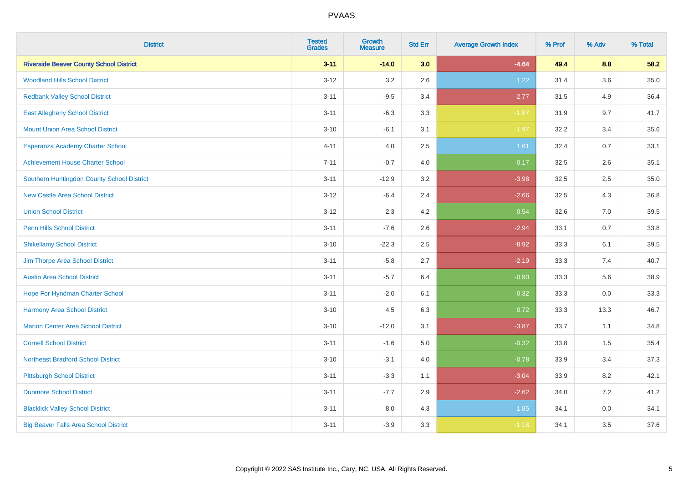| <b>District</b>                                | <b>Tested</b><br><b>Grades</b> | <b>Growth</b><br><b>Measure</b> | <b>Std Err</b> | <b>Average Growth Index</b> | % Prof | % Adv | % Total |
|------------------------------------------------|--------------------------------|---------------------------------|----------------|-----------------------------|--------|-------|---------|
| <b>Riverside Beaver County School District</b> | $3 - 11$                       | $-14.0$                         | 3.0            | $-4.64$                     | 49.4   | 8.8   | 58.2    |
| <b>Woodland Hills School District</b>          | $3 - 12$                       | 3.2                             | 2.6            | 1.22                        | 31.4   | 3.6   | 35.0    |
| <b>Redbank Valley School District</b>          | $3 - 11$                       | $-9.5$                          | 3.4            | $-2.77$                     | 31.5   | 4.9   | 36.4    |
| <b>East Allegheny School District</b>          | $3 - 11$                       | $-6.3$                          | 3.3            | $-1.87$                     | 31.9   | 9.7   | 41.7    |
| <b>Mount Union Area School District</b>        | $3 - 10$                       | $-6.1$                          | 3.1            | $-1.97$                     | 32.2   | 3.4   | 35.6    |
| Esperanza Academy Charter School               | $4 - 11$                       | 4.0                             | 2.5            | 1.61                        | 32.4   | 0.7   | 33.1    |
| <b>Achievement House Charter School</b>        | $7 - 11$                       | $-0.7$                          | 4.0            | $-0.17$                     | 32.5   | 2.6   | 35.1    |
| Southern Huntingdon County School District     | $3 - 11$                       | $-12.9$                         | 3.2            | $-3.98$                     | 32.5   | 2.5   | 35.0    |
| <b>New Castle Area School District</b>         | $3 - 12$                       | $-6.4$                          | 2.4            | $-2.66$                     | 32.5   | 4.3   | 36.8    |
| <b>Union School District</b>                   | $3 - 12$                       | 2.3                             | 4.2            | 0.54                        | 32.6   | 7.0   | 39.5    |
| <b>Penn Hills School District</b>              | $3 - 11$                       | $-7.6$                          | 2.6            | $-2.94$                     | 33.1   | 0.7   | 33.8    |
| <b>Shikellamy School District</b>              | $3 - 10$                       | $-22.3$                         | 2.5            | $-8.92$                     | 33.3   | 6.1   | 39.5    |
| Jim Thorpe Area School District                | $3 - 11$                       | $-5.8$                          | 2.7            | $-2.19$                     | 33.3   | 7.4   | 40.7    |
| <b>Austin Area School District</b>             | $3 - 11$                       | $-5.7$                          | 6.4            | $-0.90$                     | 33.3   | 5.6   | 38.9    |
| Hope For Hyndman Charter School                | $3 - 11$                       | $-2.0$                          | 6.1            | $-0.32$                     | 33.3   | 0.0   | 33.3    |
| <b>Harmony Area School District</b>            | $3 - 10$                       | 4.5                             | 6.3            | 0.72                        | 33.3   | 13.3  | 46.7    |
| <b>Marion Center Area School District</b>      | $3 - 10$                       | $-12.0$                         | 3.1            | $-3.87$                     | 33.7   | 1.1   | 34.8    |
| <b>Cornell School District</b>                 | $3 - 11$                       | $-1.6$                          | 5.0            | $-0.32$                     | 33.8   | 1.5   | 35.4    |
| <b>Northeast Bradford School District</b>      | $3 - 10$                       | $-3.1$                          | 4.0            | $-0.78$                     | 33.9   | 3.4   | 37.3    |
| <b>Pittsburgh School District</b>              | $3 - 11$                       | $-3.3$                          | 1.1            | $-3.04$                     | 33.9   | 8.2   | 42.1    |
| <b>Dunmore School District</b>                 | $3 - 11$                       | $-7.7$                          | 2.9            | $-2.62$                     | 34.0   | 7.2   | 41.2    |
| <b>Blacklick Valley School District</b>        | $3 - 11$                       | 8.0                             | 4.3            | 1.85                        | 34.1   | 0.0   | 34.1    |
| <b>Big Beaver Falls Area School District</b>   | $3 - 11$                       | $-3.9$                          | 3.3            | $-1.18$                     | 34.1   | 3.5   | 37.6    |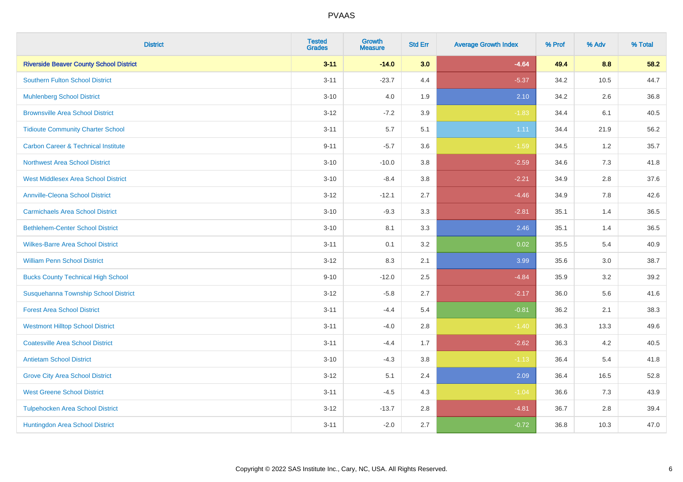| <b>District</b>                                | <b>Tested</b><br><b>Grades</b> | <b>Growth</b><br><b>Measure</b> | <b>Std Err</b> | <b>Average Growth Index</b> | % Prof | % Adv | % Total |
|------------------------------------------------|--------------------------------|---------------------------------|----------------|-----------------------------|--------|-------|---------|
| <b>Riverside Beaver County School District</b> | $3 - 11$                       | $-14.0$                         | 3.0            | $-4.64$                     | 49.4   | 8.8   | 58.2    |
| <b>Southern Fulton School District</b>         | $3 - 11$                       | $-23.7$                         | 4.4            | $-5.37$                     | 34.2   | 10.5  | 44.7    |
| <b>Muhlenberg School District</b>              | $3 - 10$                       | 4.0                             | 1.9            | 2.10                        | 34.2   | 2.6   | 36.8    |
| <b>Brownsville Area School District</b>        | $3 - 12$                       | $-7.2$                          | 3.9            | $-1.83$                     | 34.4   | 6.1   | 40.5    |
| <b>Tidioute Community Charter School</b>       | $3 - 11$                       | 5.7                             | 5.1            | 1.11                        | 34.4   | 21.9  | 56.2    |
| <b>Carbon Career &amp; Technical Institute</b> | $9 - 11$                       | $-5.7$                          | 3.6            | $-1.59$                     | 34.5   | 1.2   | 35.7    |
| <b>Northwest Area School District</b>          | $3 - 10$                       | $-10.0$                         | 3.8            | $-2.59$                     | 34.6   | 7.3   | 41.8    |
| <b>West Middlesex Area School District</b>     | $3 - 10$                       | $-8.4$                          | 3.8            | $-2.21$                     | 34.9   | 2.8   | 37.6    |
| <b>Annville-Cleona School District</b>         | $3 - 12$                       | $-12.1$                         | 2.7            | $-4.46$                     | 34.9   | 7.8   | 42.6    |
| <b>Carmichaels Area School District</b>        | $3 - 10$                       | $-9.3$                          | 3.3            | $-2.81$                     | 35.1   | 1.4   | 36.5    |
| <b>Bethlehem-Center School District</b>        | $3 - 10$                       | 8.1                             | 3.3            | 2.46                        | 35.1   | 1.4   | 36.5    |
| <b>Wilkes-Barre Area School District</b>       | $3 - 11$                       | 0.1                             | 3.2            | 0.02                        | 35.5   | 5.4   | 40.9    |
| <b>William Penn School District</b>            | $3 - 12$                       | 8.3                             | 2.1            | 3.99                        | 35.6   | 3.0   | 38.7    |
| <b>Bucks County Technical High School</b>      | $9 - 10$                       | $-12.0$                         | 2.5            | $-4.84$                     | 35.9   | 3.2   | 39.2    |
| Susquehanna Township School District           | $3 - 12$                       | $-5.8$                          | 2.7            | $-2.17$                     | 36.0   | 5.6   | 41.6    |
| <b>Forest Area School District</b>             | $3 - 11$                       | $-4.4$                          | 5.4            | $-0.81$                     | 36.2   | 2.1   | 38.3    |
| <b>Westmont Hilltop School District</b>        | $3 - 11$                       | $-4.0$                          | 2.8            | $-1.40$                     | 36.3   | 13.3  | 49.6    |
| <b>Coatesville Area School District</b>        | $3 - 11$                       | $-4.4$                          | 1.7            | $-2.62$                     | 36.3   | 4.2   | 40.5    |
| <b>Antietam School District</b>                | $3 - 10$                       | $-4.3$                          | 3.8            | $-1.13$                     | 36.4   | 5.4   | 41.8    |
| <b>Grove City Area School District</b>         | $3 - 12$                       | 5.1                             | 2.4            | 2.09                        | 36.4   | 16.5  | 52.8    |
| <b>West Greene School District</b>             | $3 - 11$                       | $-4.5$                          | 4.3            | $-1.04$                     | 36.6   | 7.3   | 43.9    |
| <b>Tulpehocken Area School District</b>        | $3 - 12$                       | $-13.7$                         | 2.8            | $-4.81$                     | 36.7   | 2.8   | 39.4    |
| Huntingdon Area School District                | $3 - 11$                       | $-2.0$                          | 2.7            | $-0.72$                     | 36.8   | 10.3  | 47.0    |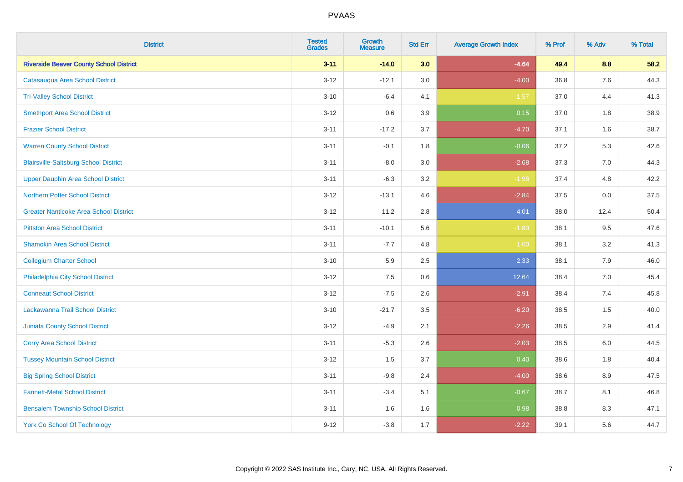| <b>District</b>                                | <b>Tested</b><br><b>Grades</b> | <b>Growth</b><br><b>Measure</b> | <b>Std Err</b> | <b>Average Growth Index</b> | % Prof | % Adv | % Total |
|------------------------------------------------|--------------------------------|---------------------------------|----------------|-----------------------------|--------|-------|---------|
| <b>Riverside Beaver County School District</b> | $3 - 11$                       | $-14.0$                         | 3.0            | $-4.64$                     | 49.4   | 8.8   | 58.2    |
| Catasauqua Area School District                | $3 - 12$                       | $-12.1$                         | 3.0            | $-4.00$                     | 36.8   | 7.6   | 44.3    |
| <b>Tri-Valley School District</b>              | $3 - 10$                       | $-6.4$                          | 4.1            | $-1.57$                     | 37.0   | 4.4   | 41.3    |
| <b>Smethport Area School District</b>          | $3 - 12$                       | 0.6                             | 3.9            | 0.15                        | 37.0   | 1.8   | 38.9    |
| <b>Frazier School District</b>                 | $3 - 11$                       | $-17.2$                         | 3.7            | $-4.70$                     | 37.1   | 1.6   | 38.7    |
| <b>Warren County School District</b>           | $3 - 11$                       | $-0.1$                          | 1.8            | $-0.06$                     | 37.2   | 5.3   | 42.6    |
| <b>Blairsville-Saltsburg School District</b>   | $3 - 11$                       | $-8.0$                          | 3.0            | $-2.68$                     | 37.3   | 7.0   | 44.3    |
| <b>Upper Dauphin Area School District</b>      | $3 - 11$                       | $-6.3$                          | 3.2            | $-1.98$                     | 37.4   | 4.8   | 42.2    |
| <b>Northern Potter School District</b>         | $3 - 12$                       | $-13.1$                         | 4.6            | $-2.84$                     | 37.5   | 0.0   | 37.5    |
| <b>Greater Nanticoke Area School District</b>  | $3 - 12$                       | 11.2                            | 2.8            | 4.01                        | 38.0   | 12.4  | 50.4    |
| <b>Pittston Area School District</b>           | $3 - 11$                       | $-10.1$                         | 5.6            | $-1.80$                     | 38.1   | 9.5   | 47.6    |
| <b>Shamokin Area School District</b>           | $3 - 11$                       | $-7.7$                          | 4.8            | $-1.60$                     | 38.1   | 3.2   | 41.3    |
| <b>Collegium Charter School</b>                | $3 - 10$                       | 5.9                             | 2.5            | 2.33                        | 38.1   | $7.9$ | 46.0    |
| Philadelphia City School District              | $3 - 12$                       | 7.5                             | 0.6            | 12.64                       | 38.4   | 7.0   | 45.4    |
| <b>Conneaut School District</b>                | $3 - 12$                       | $-7.5$                          | 2.6            | $-2.91$                     | 38.4   | 7.4   | 45.8    |
| Lackawanna Trail School District               | $3 - 10$                       | $-21.7$                         | 3.5            | $-6.20$                     | 38.5   | 1.5   | 40.0    |
| <b>Juniata County School District</b>          | $3 - 12$                       | $-4.9$                          | 2.1            | $-2.26$                     | 38.5   | 2.9   | 41.4    |
| <b>Corry Area School District</b>              | $3 - 11$                       | $-5.3$                          | 2.6            | $-2.03$                     | 38.5   | 6.0   | 44.5    |
| <b>Tussey Mountain School District</b>         | $3 - 12$                       | 1.5                             | 3.7            | 0.40                        | 38.6   | 1.8   | 40.4    |
| <b>Big Spring School District</b>              | $3 - 11$                       | $-9.8$                          | 2.4            | $-4.00$                     | 38.6   | 8.9   | 47.5    |
| <b>Fannett-Metal School District</b>           | $3 - 11$                       | $-3.4$                          | 5.1            | $-0.67$                     | 38.7   | 8.1   | 46.8    |
| <b>Bensalem Township School District</b>       | $3 - 11$                       | 1.6                             | 1.6            | 0.98                        | 38.8   | 8.3   | 47.1    |
| <b>York Co School Of Technology</b>            | $9 - 12$                       | $-3.8$                          | 1.7            | $-2.22$                     | 39.1   | 5.6   | 44.7    |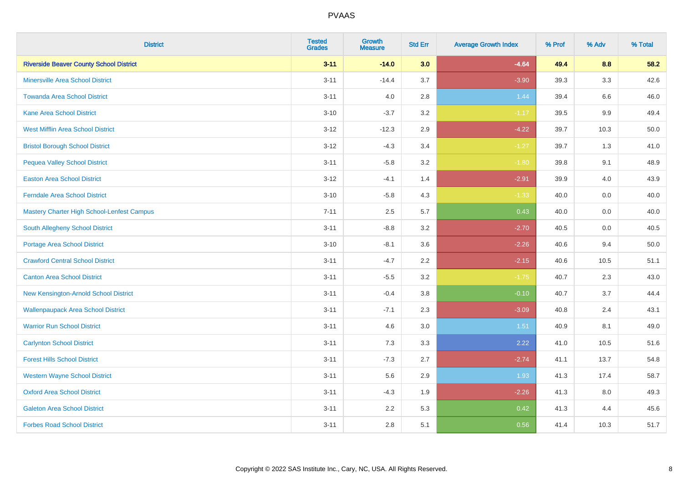| <b>District</b>                                | <b>Tested</b><br><b>Grades</b> | Growth<br><b>Measure</b> | <b>Std Err</b> | <b>Average Growth Index</b> | % Prof | % Adv | % Total |
|------------------------------------------------|--------------------------------|--------------------------|----------------|-----------------------------|--------|-------|---------|
| <b>Riverside Beaver County School District</b> | $3 - 11$                       | $-14.0$                  | 3.0            | $-4.64$                     | 49.4   | 8.8   | 58.2    |
| <b>Minersville Area School District</b>        | $3 - 11$                       | $-14.4$                  | 3.7            | $-3.90$                     | 39.3   | 3.3   | 42.6    |
| <b>Towanda Area School District</b>            | $3 - 11$                       | 4.0                      | 2.8            | 1.44                        | 39.4   | 6.6   | 46.0    |
| <b>Kane Area School District</b>               | $3 - 10$                       | $-3.7$                   | 3.2            | $-1.17$                     | 39.5   | 9.9   | 49.4    |
| <b>West Mifflin Area School District</b>       | $3 - 12$                       | $-12.3$                  | 2.9            | $-4.22$                     | 39.7   | 10.3  | 50.0    |
| <b>Bristol Borough School District</b>         | $3 - 12$                       | $-4.3$                   | 3.4            | $-1.27$                     | 39.7   | 1.3   | 41.0    |
| <b>Pequea Valley School District</b>           | $3 - 11$                       | $-5.8$                   | 3.2            | $-1.80$                     | 39.8   | 9.1   | 48.9    |
| <b>Easton Area School District</b>             | $3 - 12$                       | $-4.1$                   | 1.4            | $-2.91$                     | 39.9   | 4.0   | 43.9    |
| <b>Ferndale Area School District</b>           | $3 - 10$                       | $-5.8$                   | 4.3            | $-1.33$                     | 40.0   | 0.0   | 40.0    |
| Mastery Charter High School-Lenfest Campus     | $7 - 11$                       | 2.5                      | 5.7            | 0.43                        | 40.0   | 0.0   | 40.0    |
| South Allegheny School District                | $3 - 11$                       | $-8.8$                   | 3.2            | $-2.70$                     | 40.5   | 0.0   | 40.5    |
| <b>Portage Area School District</b>            | $3 - 10$                       | $-8.1$                   | 3.6            | $-2.26$                     | 40.6   | 9.4   | 50.0    |
| <b>Crawford Central School District</b>        | $3 - 11$                       | $-4.7$                   | 2.2            | $-2.15$                     | 40.6   | 10.5  | 51.1    |
| <b>Canton Area School District</b>             | $3 - 11$                       | $-5.5$                   | 3.2            | $-1.75$                     | 40.7   | 2.3   | 43.0    |
| New Kensington-Arnold School District          | $3 - 11$                       | $-0.4$                   | 3.8            | $-0.10$                     | 40.7   | 3.7   | 44.4    |
| <b>Wallenpaupack Area School District</b>      | $3 - 11$                       | $-7.1$                   | 2.3            | $-3.09$                     | 40.8   | 2.4   | 43.1    |
| <b>Warrior Run School District</b>             | $3 - 11$                       | 4.6                      | 3.0            | 1.51                        | 40.9   | 8.1   | 49.0    |
| <b>Carlynton School District</b>               | $3 - 11$                       | 7.3                      | 3.3            | 2.22                        | 41.0   | 10.5  | 51.6    |
| <b>Forest Hills School District</b>            | $3 - 11$                       | $-7.3$                   | 2.7            | $-2.74$                     | 41.1   | 13.7  | 54.8    |
| <b>Western Wayne School District</b>           | $3 - 11$                       | 5.6                      | 2.9            | 1.93                        | 41.3   | 17.4  | 58.7    |
| <b>Oxford Area School District</b>             | $3 - 11$                       | $-4.3$                   | 1.9            | $-2.26$                     | 41.3   | 8.0   | 49.3    |
| <b>Galeton Area School District</b>            | $3 - 11$                       | 2.2                      | 5.3            | 0.42                        | 41.3   | 4.4   | 45.6    |
| <b>Forbes Road School District</b>             | $3 - 11$                       | 2.8                      | 5.1            | 0.56                        | 41.4   | 10.3  | 51.7    |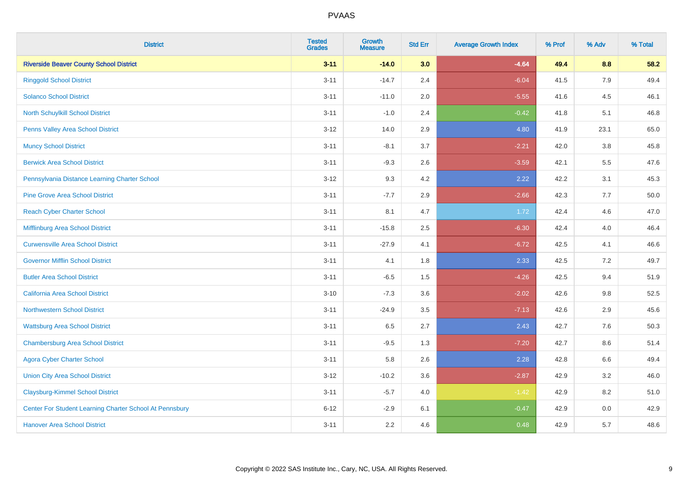| <b>District</b>                                         | <b>Tested</b><br><b>Grades</b> | <b>Growth</b><br><b>Measure</b> | <b>Std Err</b> | <b>Average Growth Index</b> | % Prof | % Adv   | % Total |
|---------------------------------------------------------|--------------------------------|---------------------------------|----------------|-----------------------------|--------|---------|---------|
| <b>Riverside Beaver County School District</b>          | $3 - 11$                       | $-14.0$                         | 3.0            | $-4.64$                     | 49.4   | 8.8     | 58.2    |
| <b>Ringgold School District</b>                         | $3 - 11$                       | $-14.7$                         | 2.4            | $-6.04$                     | 41.5   | 7.9     | 49.4    |
| <b>Solanco School District</b>                          | $3 - 11$                       | $-11.0$                         | 2.0            | $-5.55$                     | 41.6   | 4.5     | 46.1    |
| North Schuylkill School District                        | $3 - 11$                       | $-1.0$                          | 2.4            | $-0.42$                     | 41.8   | 5.1     | 46.8    |
| <b>Penns Valley Area School District</b>                | $3 - 12$                       | 14.0                            | 2.9            | 4.80                        | 41.9   | 23.1    | 65.0    |
| <b>Muncy School District</b>                            | $3 - 11$                       | $-8.1$                          | 3.7            | $-2.21$                     | 42.0   | $3.8\,$ | 45.8    |
| <b>Berwick Area School District</b>                     | $3 - 11$                       | $-9.3$                          | 2.6            | $-3.59$                     | 42.1   | 5.5     | 47.6    |
| Pennsylvania Distance Learning Charter School           | $3 - 12$                       | 9.3                             | 4.2            | 2.22                        | 42.2   | 3.1     | 45.3    |
| <b>Pine Grove Area School District</b>                  | $3 - 11$                       | $-7.7$                          | 2.9            | $-2.66$                     | 42.3   | 7.7     | 50.0    |
| <b>Reach Cyber Charter School</b>                       | $3 - 11$                       | 8.1                             | 4.7            | 1.72                        | 42.4   | 4.6     | 47.0    |
| Mifflinburg Area School District                        | $3 - 11$                       | $-15.8$                         | 2.5            | $-6.30$                     | 42.4   | 4.0     | 46.4    |
| <b>Curwensville Area School District</b>                | $3 - 11$                       | $-27.9$                         | 4.1            | $-6.72$                     | 42.5   | 4.1     | 46.6    |
| <b>Governor Mifflin School District</b>                 | $3 - 11$                       | 4.1                             | 1.8            | 2.33                        | 42.5   | 7.2     | 49.7    |
| <b>Butler Area School District</b>                      | $3 - 11$                       | $-6.5$                          | 1.5            | $-4.26$                     | 42.5   | 9.4     | 51.9    |
| California Area School District                         | $3 - 10$                       | $-7.3$                          | 3.6            | $-2.02$                     | 42.6   | 9.8     | 52.5    |
| <b>Northwestern School District</b>                     | $3 - 11$                       | $-24.9$                         | 3.5            | $-7.13$                     | 42.6   | 2.9     | 45.6    |
| <b>Wattsburg Area School District</b>                   | $3 - 11$                       | 6.5                             | 2.7            | 2.43                        | 42.7   | 7.6     | 50.3    |
| <b>Chambersburg Area School District</b>                | $3 - 11$                       | $-9.5$                          | 1.3            | $-7.20$                     | 42.7   | 8.6     | 51.4    |
| <b>Agora Cyber Charter School</b>                       | $3 - 11$                       | 5.8                             | 2.6            | 2.28                        | 42.8   | 6.6     | 49.4    |
| <b>Union City Area School District</b>                  | $3 - 12$                       | $-10.2$                         | 3.6            | $-2.87$                     | 42.9   | 3.2     | 46.0    |
| <b>Claysburg-Kimmel School District</b>                 | $3 - 11$                       | $-5.7$                          | 4.0            | $-1.42$                     | 42.9   | 8.2     | 51.0    |
| Center For Student Learning Charter School At Pennsbury | $6 - 12$                       | $-2.9$                          | 6.1            | $-0.47$                     | 42.9   | 0.0     | 42.9    |
| <b>Hanover Area School District</b>                     | $3 - 11$                       | 2.2                             | 4.6            | 0.48                        | 42.9   | 5.7     | 48.6    |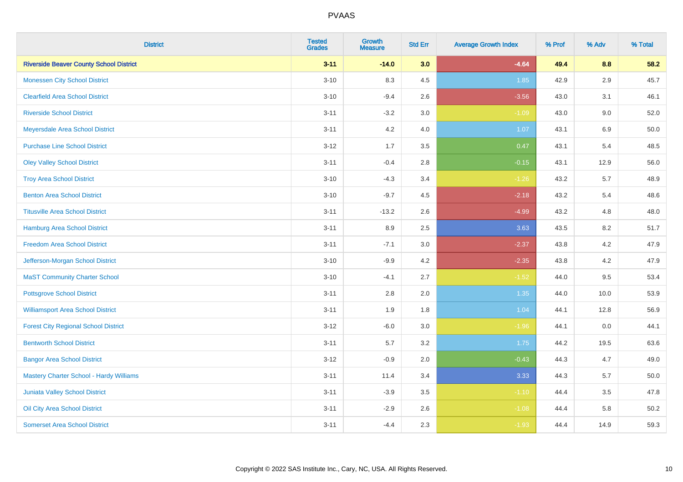| <b>District</b>                                | <b>Tested</b><br><b>Grades</b> | <b>Growth</b><br><b>Measure</b> | <b>Std Err</b> | <b>Average Growth Index</b> | % Prof | % Adv   | % Total |
|------------------------------------------------|--------------------------------|---------------------------------|----------------|-----------------------------|--------|---------|---------|
| <b>Riverside Beaver County School District</b> | $3 - 11$                       | $-14.0$                         | 3.0            | $-4.64$                     | 49.4   | 8.8     | 58.2    |
| <b>Monessen City School District</b>           | $3 - 10$                       | 8.3                             | 4.5            | 1.85                        | 42.9   | $2.9\,$ | 45.7    |
| <b>Clearfield Area School District</b>         | $3 - 10$                       | $-9.4$                          | 2.6            | $-3.56$                     | 43.0   | 3.1     | 46.1    |
| <b>Riverside School District</b>               | $3 - 11$                       | $-3.2$                          | 3.0            | $-1.09$                     | 43.0   | 9.0     | 52.0    |
| Meyersdale Area School District                | $3 - 11$                       | 4.2                             | 4.0            | 1.07                        | 43.1   | 6.9     | 50.0    |
| <b>Purchase Line School District</b>           | $3 - 12$                       | 1.7                             | 3.5            | 0.47                        | 43.1   | 5.4     | 48.5    |
| <b>Oley Valley School District</b>             | $3 - 11$                       | $-0.4$                          | 2.8            | $-0.15$                     | 43.1   | 12.9    | 56.0    |
| <b>Troy Area School District</b>               | $3 - 10$                       | $-4.3$                          | 3.4            | $-1.26$                     | 43.2   | 5.7     | 48.9    |
| <b>Benton Area School District</b>             | $3 - 10$                       | $-9.7$                          | 4.5            | $-2.18$                     | 43.2   | 5.4     | 48.6    |
| <b>Titusville Area School District</b>         | $3 - 11$                       | $-13.2$                         | 2.6            | $-4.99$                     | 43.2   | 4.8     | 48.0    |
| Hamburg Area School District                   | $3 - 11$                       | 8.9                             | 2.5            | 3.63                        | 43.5   | 8.2     | 51.7    |
| <b>Freedom Area School District</b>            | $3 - 11$                       | $-7.1$                          | 3.0            | $-2.37$                     | 43.8   | 4.2     | 47.9    |
| Jefferson-Morgan School District               | $3 - 10$                       | $-9.9$                          | 4.2            | $-2.35$                     | 43.8   | 4.2     | 47.9    |
| <b>MaST Community Charter School</b>           | $3 - 10$                       | $-4.1$                          | 2.7            | $-1.52$                     | 44.0   | 9.5     | 53.4    |
| <b>Pottsgrove School District</b>              | $3 - 11$                       | 2.8                             | 2.0            | 1.35                        | 44.0   | 10.0    | 53.9    |
| <b>Williamsport Area School District</b>       | $3 - 11$                       | 1.9                             | 1.8            | 1.04                        | 44.1   | 12.8    | 56.9    |
| <b>Forest City Regional School District</b>    | $3 - 12$                       | $-6.0$                          | 3.0            | $-1.96$                     | 44.1   | 0.0     | 44.1    |
| <b>Bentworth School District</b>               | $3 - 11$                       | 5.7                             | 3.2            | 1.75                        | 44.2   | 19.5    | 63.6    |
| <b>Bangor Area School District</b>             | $3 - 12$                       | $-0.9$                          | 2.0            | $-0.43$                     | 44.3   | 4.7     | 49.0    |
| <b>Mastery Charter School - Hardy Williams</b> | $3 - 11$                       | 11.4                            | 3.4            | 3.33                        | 44.3   | 5.7     | 50.0    |
| Juniata Valley School District                 | $3 - 11$                       | $-3.9$                          | 3.5            | $-1.10$                     | 44.4   | 3.5     | 47.8    |
| Oil City Area School District                  | $3 - 11$                       | $-2.9$                          | 2.6            | $-1.08$                     | 44.4   | 5.8     | 50.2    |
| <b>Somerset Area School District</b>           | $3 - 11$                       | $-4.4$                          | 2.3            | $-1.93$                     | 44.4   | 14.9    | 59.3    |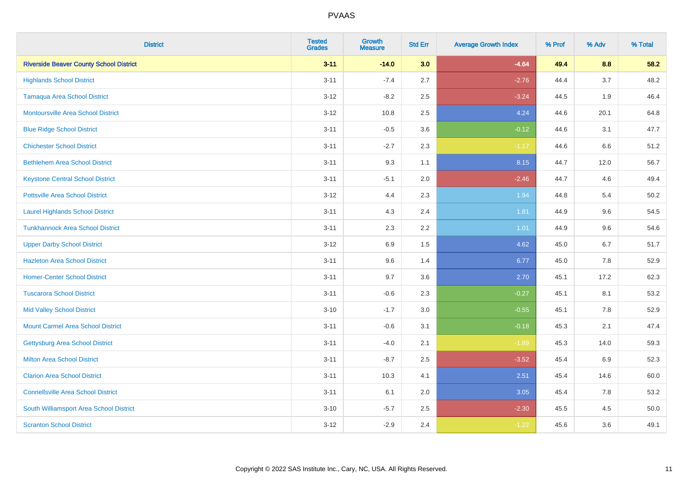| <b>District</b>                                | <b>Tested</b><br><b>Grades</b> | <b>Growth</b><br><b>Measure</b> | <b>Std Err</b> | <b>Average Growth Index</b> | % Prof | % Adv | % Total |
|------------------------------------------------|--------------------------------|---------------------------------|----------------|-----------------------------|--------|-------|---------|
| <b>Riverside Beaver County School District</b> | $3 - 11$                       | $-14.0$                         | 3.0            | $-4.64$                     | 49.4   | 8.8   | 58.2    |
| <b>Highlands School District</b>               | $3 - 11$                       | $-7.4$                          | 2.7            | $-2.76$                     | 44.4   | 3.7   | 48.2    |
| <b>Tamaqua Area School District</b>            | $3 - 12$                       | $-8.2$                          | 2.5            | $-3.24$                     | 44.5   | 1.9   | 46.4    |
| <b>Montoursville Area School District</b>      | $3 - 12$                       | 10.8                            | 2.5            | 4.24                        | 44.6   | 20.1  | 64.8    |
| <b>Blue Ridge School District</b>              | $3 - 11$                       | $-0.5$                          | 3.6            | $-0.12$                     | 44.6   | 3.1   | 47.7    |
| <b>Chichester School District</b>              | $3 - 11$                       | $-2.7$                          | 2.3            | $-1.17$                     | 44.6   | 6.6   | 51.2    |
| <b>Bethlehem Area School District</b>          | $3 - 11$                       | 9.3                             | 1.1            | 8.15                        | 44.7   | 12.0  | 56.7    |
| <b>Keystone Central School District</b>        | $3 - 11$                       | $-5.1$                          | 2.0            | $-2.46$                     | 44.7   | 4.6   | 49.4    |
| <b>Pottsville Area School District</b>         | $3 - 12$                       | 4.4                             | 2.3            | 1.94                        | 44.8   | 5.4   | 50.2    |
| <b>Laurel Highlands School District</b>        | $3 - 11$                       | 4.3                             | 2.4            | 1.81                        | 44.9   | 9.6   | 54.5    |
| <b>Tunkhannock Area School District</b>        | $3 - 11$                       | 2.3                             | 2.2            | 1.01                        | 44.9   | 9.6   | 54.6    |
| <b>Upper Darby School District</b>             | $3 - 12$                       | 6.9                             | 1.5            | 4.62                        | 45.0   | 6.7   | 51.7    |
| <b>Hazleton Area School District</b>           | $3 - 11$                       | 9.6                             | 1.4            | 6.77                        | 45.0   | 7.8   | 52.9    |
| <b>Homer-Center School District</b>            | $3 - 11$                       | 9.7                             | 3.6            | 2.70                        | 45.1   | 17.2  | 62.3    |
| <b>Tuscarora School District</b>               | $3 - 11$                       | $-0.6$                          | 2.3            | $-0.27$                     | 45.1   | 8.1   | 53.2    |
| <b>Mid Valley School District</b>              | $3 - 10$                       | $-1.7$                          | 3.0            | $-0.55$                     | 45.1   | 7.8   | 52.9    |
| <b>Mount Carmel Area School District</b>       | $3 - 11$                       | $-0.6$                          | 3.1            | $-0.18$                     | 45.3   | 2.1   | 47.4    |
| Gettysburg Area School District                | $3 - 11$                       | $-4.0$                          | 2.1            | $-1.89$                     | 45.3   | 14.0  | 59.3    |
| <b>Milton Area School District</b>             | $3 - 11$                       | $-8.7$                          | 2.5            | $-3.52$                     | 45.4   | 6.9   | 52.3    |
| <b>Clarion Area School District</b>            | $3 - 11$                       | 10.3                            | 4.1            | 2.51                        | 45.4   | 14.6  | 60.0    |
| <b>Connellsville Area School District</b>      | $3 - 11$                       | 6.1                             | 2.0            | 3.05                        | 45.4   | 7.8   | 53.2    |
| South Williamsport Area School District        | $3 - 10$                       | $-5.7$                          | 2.5            | $-2.30$                     | 45.5   | 4.5   | 50.0    |
| <b>Scranton School District</b>                | $3 - 12$                       | $-2.9$                          | 2.4            | $-1.22$                     | 45.6   | 3.6   | 49.1    |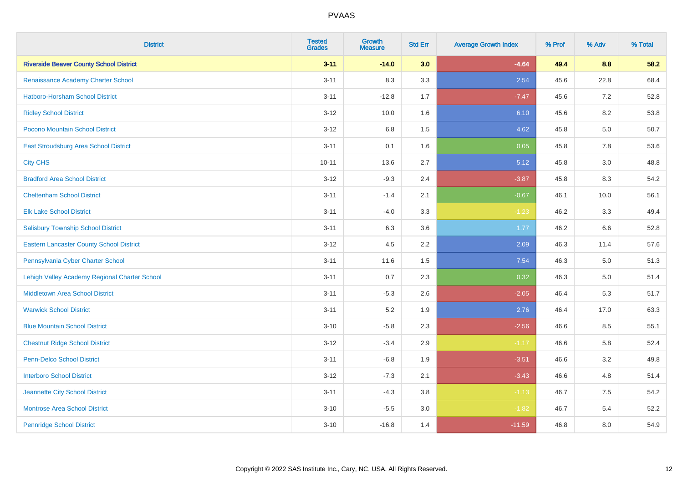| <b>District</b>                                 | <b>Tested</b><br><b>Grades</b> | <b>Growth</b><br><b>Measure</b> | <b>Std Err</b> | <b>Average Growth Index</b> | % Prof | % Adv   | % Total |
|-------------------------------------------------|--------------------------------|---------------------------------|----------------|-----------------------------|--------|---------|---------|
| <b>Riverside Beaver County School District</b>  | $3 - 11$                       | $-14.0$                         | 3.0            | $-4.64$                     | 49.4   | 8.8     | 58.2    |
| Renaissance Academy Charter School              | $3 - 11$                       | 8.3                             | 3.3            | 2.54                        | 45.6   | 22.8    | 68.4    |
| <b>Hatboro-Horsham School District</b>          | $3 - 11$                       | $-12.8$                         | 1.7            | $-7.47$                     | 45.6   | 7.2     | 52.8    |
| <b>Ridley School District</b>                   | $3 - 12$                       | 10.0                            | 1.6            | 6.10                        | 45.6   | 8.2     | 53.8    |
| Pocono Mountain School District                 | $3 - 12$                       | 6.8                             | 1.5            | 4.62                        | 45.8   | 5.0     | 50.7    |
| <b>East Stroudsburg Area School District</b>    | $3 - 11$                       | 0.1                             | 1.6            | 0.05                        | 45.8   | 7.8     | 53.6    |
| <b>City CHS</b>                                 | $10 - 11$                      | 13.6                            | 2.7            | 5.12                        | 45.8   | 3.0     | 48.8    |
| <b>Bradford Area School District</b>            | $3 - 12$                       | $-9.3$                          | 2.4            | $-3.87$                     | 45.8   | 8.3     | 54.2    |
| <b>Cheltenham School District</b>               | $3 - 11$                       | $-1.4$                          | 2.1            | $-0.67$                     | 46.1   | 10.0    | 56.1    |
| <b>Elk Lake School District</b>                 | $3 - 11$                       | $-4.0$                          | 3.3            | $-1.23$                     | 46.2   | 3.3     | 49.4    |
| <b>Salisbury Township School District</b>       | $3 - 11$                       | 6.3                             | 3.6            | 1.77                        | 46.2   | 6.6     | 52.8    |
| <b>Eastern Lancaster County School District</b> | $3 - 12$                       | 4.5                             | 2.2            | 2.09                        | 46.3   | 11.4    | 57.6    |
| Pennsylvania Cyber Charter School               | $3 - 11$                       | 11.6                            | 1.5            | 7.54                        | 46.3   | $5.0\,$ | 51.3    |
| Lehigh Valley Academy Regional Charter School   | $3 - 11$                       | 0.7                             | 2.3            | 0.32                        | 46.3   | 5.0     | 51.4    |
| <b>Middletown Area School District</b>          | $3 - 11$                       | $-5.3$                          | 2.6            | $-2.05$                     | 46.4   | 5.3     | 51.7    |
| <b>Warwick School District</b>                  | $3 - 11$                       | 5.2                             | 1.9            | 2.76                        | 46.4   | 17.0    | 63.3    |
| <b>Blue Mountain School District</b>            | $3 - 10$                       | $-5.8$                          | 2.3            | $-2.56$                     | 46.6   | 8.5     | 55.1    |
| <b>Chestnut Ridge School District</b>           | $3 - 12$                       | $-3.4$                          | 2.9            | $-1.17$                     | 46.6   | 5.8     | 52.4    |
| Penn-Delco School District                      | $3 - 11$                       | $-6.8$                          | 1.9            | $-3.51$                     | 46.6   | 3.2     | 49.8    |
| <b>Interboro School District</b>                | $3 - 12$                       | $-7.3$                          | 2.1            | $-3.43$                     | 46.6   | 4.8     | 51.4    |
| Jeannette City School District                  | $3 - 11$                       | $-4.3$                          | 3.8            | $-1.13$                     | 46.7   | 7.5     | 54.2    |
| <b>Montrose Area School District</b>            | $3 - 10$                       | $-5.5$                          | 3.0            | $-1.82$                     | 46.7   | 5.4     | 52.2    |
| <b>Pennridge School District</b>                | $3 - 10$                       | $-16.8$                         | 1.4            | $-11.59$                    | 46.8   | 8.0     | 54.9    |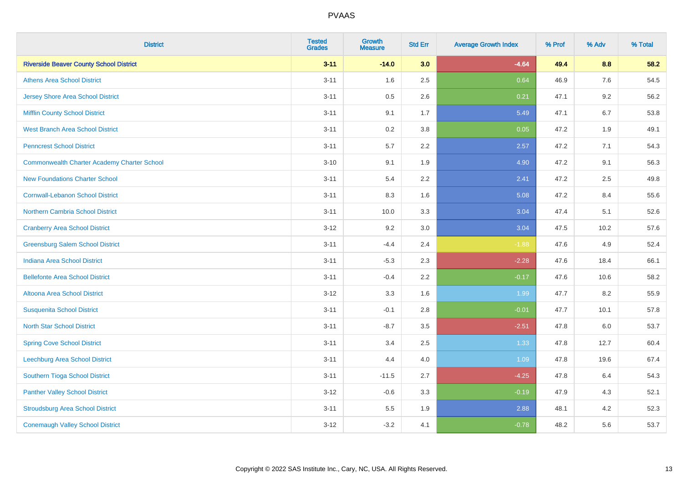| <b>District</b>                                    | <b>Tested</b><br><b>Grades</b> | <b>Growth</b><br><b>Measure</b> | <b>Std Err</b> | <b>Average Growth Index</b> | % Prof | % Adv | % Total |
|----------------------------------------------------|--------------------------------|---------------------------------|----------------|-----------------------------|--------|-------|---------|
| <b>Riverside Beaver County School District</b>     | $3 - 11$                       | $-14.0$                         | 3.0            | $-4.64$                     | 49.4   | 8.8   | 58.2    |
| <b>Athens Area School District</b>                 | $3 - 11$                       | 1.6                             | 2.5            | 0.64                        | 46.9   | 7.6   | 54.5    |
| <b>Jersey Shore Area School District</b>           | $3 - 11$                       | 0.5                             | 2.6            | 0.21                        | 47.1   | 9.2   | 56.2    |
| <b>Mifflin County School District</b>              | $3 - 11$                       | 9.1                             | 1.7            | 5.49                        | 47.1   | 6.7   | 53.8    |
| <b>West Branch Area School District</b>            | $3 - 11$                       | 0.2                             | 3.8            | 0.05                        | 47.2   | 1.9   | 49.1    |
| <b>Penncrest School District</b>                   | $3 - 11$                       | 5.7                             | 2.2            | 2.57                        | 47.2   | 7.1   | 54.3    |
| <b>Commonwealth Charter Academy Charter School</b> | $3 - 10$                       | 9.1                             | 1.9            | 4.90                        | 47.2   | 9.1   | 56.3    |
| <b>New Foundations Charter School</b>              | $3 - 11$                       | 5.4                             | 2.2            | 2.41                        | 47.2   | 2.5   | 49.8    |
| <b>Cornwall-Lebanon School District</b>            | $3 - 11$                       | 8.3                             | 1.6            | 5.08                        | 47.2   | 8.4   | 55.6    |
| <b>Northern Cambria School District</b>            | $3 - 11$                       | 10.0                            | 3.3            | 3.04                        | 47.4   | 5.1   | 52.6    |
| <b>Cranberry Area School District</b>              | $3-12$                         | 9.2                             | 3.0            | 3.04                        | 47.5   | 10.2  | 57.6    |
| <b>Greensburg Salem School District</b>            | $3 - 11$                       | $-4.4$                          | 2.4            | $-1.88$                     | 47.6   | 4.9   | 52.4    |
| Indiana Area School District                       | $3 - 11$                       | $-5.3$                          | 2.3            | $-2.28$                     | 47.6   | 18.4  | 66.1    |
| <b>Bellefonte Area School District</b>             | $3 - 11$                       | $-0.4$                          | 2.2            | $-0.17$                     | 47.6   | 10.6  | 58.2    |
| Altoona Area School District                       | $3 - 12$                       | 3.3                             | 1.6            | 1.99                        | 47.7   | 8.2   | 55.9    |
| <b>Susquenita School District</b>                  | $3 - 11$                       | $-0.1$                          | 2.8            | $-0.01$                     | 47.7   | 10.1  | 57.8    |
| <b>North Star School District</b>                  | $3 - 11$                       | $-8.7$                          | 3.5            | $-2.51$                     | 47.8   | 6.0   | 53.7    |
| <b>Spring Cove School District</b>                 | $3 - 11$                       | 3.4                             | 2.5            | 1.33                        | 47.8   | 12.7  | 60.4    |
| <b>Leechburg Area School District</b>              | $3 - 11$                       | 4.4                             | 4.0            | 1.09                        | 47.8   | 19.6  | 67.4    |
| Southern Tioga School District                     | $3 - 11$                       | $-11.5$                         | 2.7            | $-4.25$                     | 47.8   | 6.4   | 54.3    |
| <b>Panther Valley School District</b>              | $3 - 12$                       | $-0.6$                          | 3.3            | $-0.19$                     | 47.9   | 4.3   | 52.1    |
| <b>Stroudsburg Area School District</b>            | $3 - 11$                       | 5.5                             | 1.9            | 2.88                        | 48.1   | 4.2   | 52.3    |
| <b>Conemaugh Valley School District</b>            | $3-12$                         | $-3.2$                          | 4.1            | $-0.78$                     | 48.2   | 5.6   | 53.7    |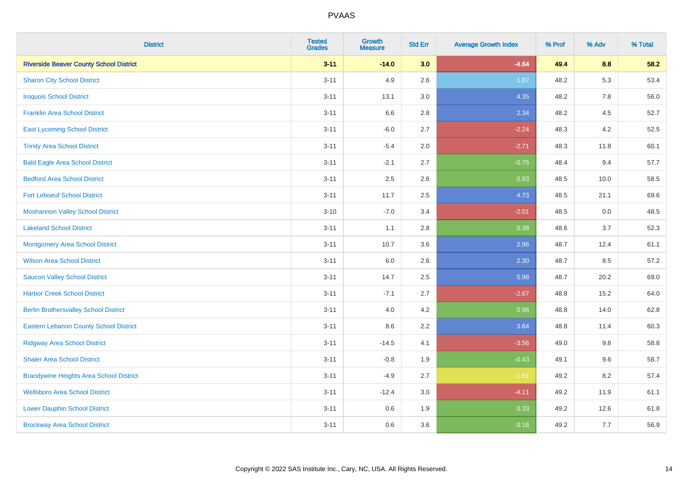| <b>District</b>                                | <b>Tested</b><br><b>Grades</b> | <b>Growth</b><br><b>Measure</b> | <b>Std Err</b> | <b>Average Growth Index</b> | % Prof | % Adv | % Total |
|------------------------------------------------|--------------------------------|---------------------------------|----------------|-----------------------------|--------|-------|---------|
| <b>Riverside Beaver County School District</b> | $3 - 11$                       | $-14.0$                         | 3.0            | $-4.64$                     | 49.4   | 8.8   | 58.2    |
| <b>Sharon City School District</b>             | $3 - 11$                       | 4.9                             | 2.6            | 1.87                        | 48.2   | 5.3   | 53.4    |
| <b>Iroquois School District</b>                | $3 - 11$                       | 13.1                            | 3.0            | 4.35                        | 48.2   | 7.8   | 56.0    |
| <b>Franklin Area School District</b>           | $3 - 11$                       | $6.6\,$                         | 2.8            | 2.34                        | 48.2   | 4.5   | 52.7    |
| <b>East Lycoming School District</b>           | $3 - 11$                       | $-6.0$                          | 2.7            | $-2.24$                     | 48.3   | 4.2   | 52.5    |
| <b>Trinity Area School District</b>            | $3 - 11$                       | $-5.4$                          | 2.0            | $-2.71$                     | 48.3   | 11.8  | 60.1    |
| <b>Bald Eagle Area School District</b>         | $3 - 11$                       | $-2.1$                          | 2.7            | $-0.75$                     | 48.4   | 9.4   | 57.7    |
| <b>Bedford Area School District</b>            | $3 - 11$                       | 2.5                             | 2.6            | 0.93                        | 48.5   | 10.0  | 58.5    |
| <b>Fort Leboeuf School District</b>            | $3 - 11$                       | 11.7                            | 2.5            | 4.73                        | 48.5   | 21.1  | 69.6    |
| <b>Moshannon Valley School District</b>        | $3 - 10$                       | $-7.0$                          | 3.4            | $-2.01$                     | 48.5   | 0.0   | 48.5    |
| <b>Lakeland School District</b>                | $3 - 11$                       | 1.1                             | 2.8            | 0.38                        | 48.6   | 3.7   | 52.3    |
| <b>Montgomery Area School District</b>         | $3 - 11$                       | 10.7                            | 3.6            | 2.96                        | 48.7   | 12.4  | 61.1    |
| <b>Wilson Area School District</b>             | $3 - 11$                       | $6.0\,$                         | 2.6            | 2.30                        | 48.7   | 8.5   | 57.2    |
| <b>Saucon Valley School District</b>           | $3 - 11$                       | 14.7                            | 2.5            | 5.98                        | 48.7   | 20.2  | 69.0    |
| <b>Harbor Creek School District</b>            | $3 - 11$                       | $-7.1$                          | 2.7            | $-2.67$                     | 48.8   | 15.2  | 64.0    |
| <b>Berlin Brothersvalley School District</b>   | $3 - 11$                       | 4.0                             | 4.2            | 0.96                        | 48.8   | 14.0  | 62.8    |
| Eastern Lebanon County School District         | $3 - 11$                       | $8.6\,$                         | 2.2            | 3.84                        | 48.8   | 11.4  | 60.3    |
| <b>Ridgway Area School District</b>            | $3 - 11$                       | $-14.5$                         | 4.1            | $-3.56$                     | 49.0   | 9.8   | 58.8    |
| <b>Shaler Area School District</b>             | $3 - 11$                       | $-0.8$                          | 1.9            | $-0.43$                     | 49.1   | 9.6   | 58.7    |
| <b>Brandywine Heights Area School District</b> | $3 - 11$                       | $-4.9$                          | 2.7            | $-1.81$                     | 49.2   | 8.2   | 57.4    |
| <b>Wellsboro Area School District</b>          | $3 - 11$                       | $-12.4$                         | 3.0            | $-4.11$                     | 49.2   | 11.9  | 61.1    |
| <b>Lower Dauphin School District</b>           | $3 - 11$                       | $0.6\,$                         | 1.9            | 0.33                        | 49.2   | 12.6  | 61.8    |
| <b>Brockway Area School District</b>           | $3 - 11$                       | 0.6                             | 3.6            | 0.16                        | 49.2   | 7.7   | 56.9    |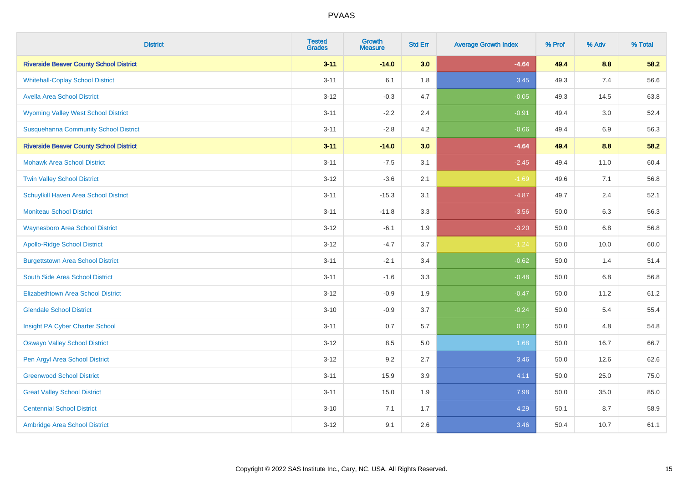| <b>District</b>                                | <b>Tested</b><br><b>Grades</b> | <b>Growth</b><br><b>Measure</b> | <b>Std Err</b> | <b>Average Growth Index</b> | % Prof | % Adv | % Total |
|------------------------------------------------|--------------------------------|---------------------------------|----------------|-----------------------------|--------|-------|---------|
| <b>Riverside Beaver County School District</b> | $3 - 11$                       | $-14.0$                         | 3.0            | $-4.64$                     | 49.4   | 8.8   | 58.2    |
| <b>Whitehall-Coplay School District</b>        | $3 - 11$                       | 6.1                             | 1.8            | 3.45                        | 49.3   | 7.4   | 56.6    |
| <b>Avella Area School District</b>             | $3 - 12$                       | $-0.3$                          | 4.7            | $-0.05$                     | 49.3   | 14.5  | 63.8    |
| <b>Wyoming Valley West School District</b>     | $3 - 11$                       | $-2.2$                          | 2.4            | $-0.91$                     | 49.4   | 3.0   | 52.4    |
| <b>Susquehanna Community School District</b>   | $3 - 11$                       | $-2.8$                          | 4.2            | $-0.66$                     | 49.4   | 6.9   | 56.3    |
| <b>Riverside Beaver County School District</b> | $3 - 11$                       | $-14.0$                         | 3.0            | $-4.64$                     | 49.4   | 8.8   | 58.2    |
| <b>Mohawk Area School District</b>             | $3 - 11$                       | $-7.5$                          | 3.1            | $-2.45$                     | 49.4   | 11.0  | 60.4    |
| <b>Twin Valley School District</b>             | $3 - 12$                       | $-3.6$                          | 2.1            | $-1.69$                     | 49.6   | 7.1   | 56.8    |
| Schuylkill Haven Area School District          | $3 - 11$                       | $-15.3$                         | 3.1            | $-4.87$                     | 49.7   | 2.4   | 52.1    |
| <b>Moniteau School District</b>                | $3 - 11$                       | $-11.8$                         | 3.3            | $-3.56$                     | 50.0   | 6.3   | 56.3    |
| <b>Waynesboro Area School District</b>         | $3 - 12$                       | $-6.1$                          | 1.9            | $-3.20$                     | 50.0   | 6.8   | 56.8    |
| <b>Apollo-Ridge School District</b>            | $3 - 12$                       | $-4.7$                          | 3.7            | $-1.24$                     | 50.0   | 10.0  | 60.0    |
| <b>Burgettstown Area School District</b>       | $3 - 11$                       | $-2.1$                          | 3.4            | $-0.62$                     | 50.0   | 1.4   | 51.4    |
| South Side Area School District                | $3 - 11$                       | $-1.6$                          | 3.3            | $-0.48$                     | 50.0   | 6.8   | 56.8    |
| <b>Elizabethtown Area School District</b>      | $3 - 12$                       | $-0.9$                          | 1.9            | $-0.47$                     | 50.0   | 11.2  | 61.2    |
| <b>Glendale School District</b>                | $3 - 10$                       | $-0.9$                          | 3.7            | $-0.24$                     | 50.0   | 5.4   | 55.4    |
| Insight PA Cyber Charter School                | $3 - 11$                       | 0.7                             | 5.7            | 0.12                        | 50.0   | 4.8   | 54.8    |
| <b>Oswayo Valley School District</b>           | $3 - 12$                       | 8.5                             | 5.0            | 1.68                        | 50.0   | 16.7  | 66.7    |
| Pen Argyl Area School District                 | $3 - 12$                       | 9.2                             | 2.7            | 3.46                        | 50.0   | 12.6  | 62.6    |
| <b>Greenwood School District</b>               | $3 - 11$                       | 15.9                            | 3.9            | 4.11                        | 50.0   | 25.0  | 75.0    |
| <b>Great Valley School District</b>            | $3 - 11$                       | 15.0                            | 1.9            | 7.98                        | 50.0   | 35.0  | 85.0    |
| <b>Centennial School District</b>              | $3 - 10$                       | 7.1                             | 1.7            | 4.29                        | 50.1   | 8.7   | 58.9    |
| Ambridge Area School District                  | $3 - 12$                       | 9.1                             | 2.6            | 3.46                        | 50.4   | 10.7  | 61.1    |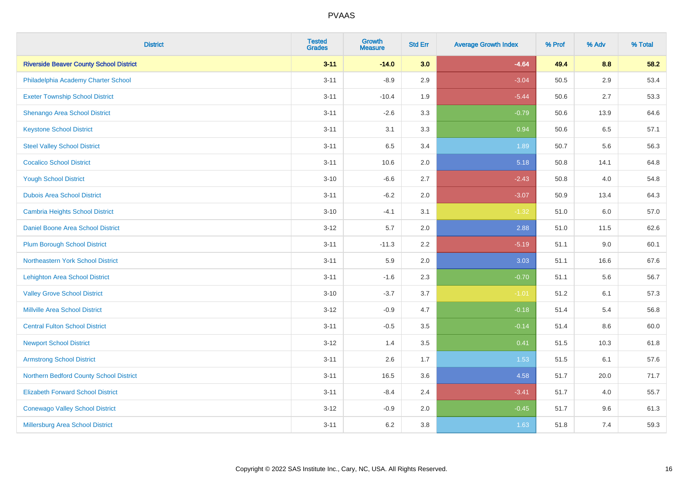| <b>District</b>                                | <b>Tested</b><br><b>Grades</b> | <b>Growth</b><br><b>Measure</b> | <b>Std Err</b> | <b>Average Growth Index</b> | % Prof | % Adv   | % Total |
|------------------------------------------------|--------------------------------|---------------------------------|----------------|-----------------------------|--------|---------|---------|
| <b>Riverside Beaver County School District</b> | $3 - 11$                       | $-14.0$                         | 3.0            | $-4.64$                     | 49.4   | 8.8     | 58.2    |
| Philadelphia Academy Charter School            | $3 - 11$                       | $-8.9$                          | 2.9            | $-3.04$                     | 50.5   | $2.9\,$ | 53.4    |
| <b>Exeter Township School District</b>         | $3 - 11$                       | $-10.4$                         | 1.9            | $-5.44$                     | 50.6   | 2.7     | 53.3    |
| Shenango Area School District                  | $3 - 11$                       | $-2.6$                          | 3.3            | $-0.79$                     | 50.6   | 13.9    | 64.6    |
| <b>Keystone School District</b>                | $3 - 11$                       | 3.1                             | 3.3            | 0.94                        | 50.6   | 6.5     | 57.1    |
| <b>Steel Valley School District</b>            | $3 - 11$                       | 6.5                             | 3.4            | 1.89                        | 50.7   | 5.6     | 56.3    |
| <b>Cocalico School District</b>                | $3 - 11$                       | 10.6                            | 2.0            | 5.18                        | 50.8   | 14.1    | 64.8    |
| <b>Yough School District</b>                   | $3 - 10$                       | $-6.6$                          | 2.7            | $-2.43$                     | 50.8   | 4.0     | 54.8    |
| <b>Dubois Area School District</b>             | $3 - 11$                       | $-6.2$                          | 2.0            | $-3.07$                     | 50.9   | 13.4    | 64.3    |
| <b>Cambria Heights School District</b>         | $3 - 10$                       | $-4.1$                          | 3.1            | $-1.32$                     | 51.0   | 6.0     | 57.0    |
| Daniel Boone Area School District              | $3 - 12$                       | 5.7                             | 2.0            | 2.88                        | 51.0   | 11.5    | 62.6    |
| <b>Plum Borough School District</b>            | $3 - 11$                       | $-11.3$                         | 2.2            | $-5.19$                     | 51.1   | 9.0     | 60.1    |
| Northeastern York School District              | $3 - 11$                       | 5.9                             | 2.0            | 3.03                        | 51.1   | 16.6    | 67.6    |
| <b>Lehighton Area School District</b>          | $3 - 11$                       | $-1.6$                          | 2.3            | $-0.70$                     | 51.1   | 5.6     | 56.7    |
| <b>Valley Grove School District</b>            | $3 - 10$                       | $-3.7$                          | 3.7            | $-1.01$                     | 51.2   | 6.1     | 57.3    |
| <b>Millville Area School District</b>          | $3 - 12$                       | $-0.9$                          | 4.7            | $-0.18$                     | 51.4   | 5.4     | 56.8    |
| <b>Central Fulton School District</b>          | $3 - 11$                       | $-0.5$                          | 3.5            | $-0.14$                     | 51.4   | $8.6\,$ | 60.0    |
| <b>Newport School District</b>                 | $3 - 12$                       | 1.4                             | 3.5            | 0.41                        | 51.5   | 10.3    | 61.8    |
| <b>Armstrong School District</b>               | $3 - 11$                       | 2.6                             | 1.7            | 1.53                        | 51.5   | 6.1     | 57.6    |
| Northern Bedford County School District        | $3 - 11$                       | 16.5                            | 3.6            | 4.58                        | 51.7   | 20.0    | 71.7    |
| <b>Elizabeth Forward School District</b>       | $3 - 11$                       | $-8.4$                          | 2.4            | $-3.41$                     | 51.7   | 4.0     | 55.7    |
| <b>Conewago Valley School District</b>         | $3 - 12$                       | $-0.9$                          | 2.0            | $-0.45$                     | 51.7   | 9.6     | 61.3    |
| Millersburg Area School District               | $3 - 11$                       | 6.2                             | 3.8            | 1.63                        | 51.8   | 7.4     | 59.3    |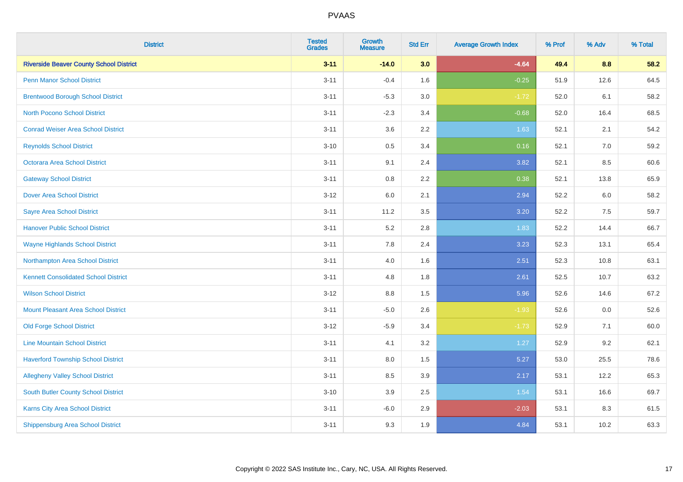| <b>District</b>                                | <b>Tested</b><br><b>Grades</b> | <b>Growth</b><br><b>Measure</b> | <b>Std Err</b> | <b>Average Growth Index</b> | % Prof | % Adv | % Total |
|------------------------------------------------|--------------------------------|---------------------------------|----------------|-----------------------------|--------|-------|---------|
| <b>Riverside Beaver County School District</b> | $3 - 11$                       | $-14.0$                         | 3.0            | $-4.64$                     | 49.4   | 8.8   | 58.2    |
| <b>Penn Manor School District</b>              | $3 - 11$                       | $-0.4$                          | 1.6            | $-0.25$                     | 51.9   | 12.6  | 64.5    |
| <b>Brentwood Borough School District</b>       | $3 - 11$                       | $-5.3$                          | 3.0            | $-1.72$                     | 52.0   | 6.1   | 58.2    |
| North Pocono School District                   | $3 - 11$                       | $-2.3$                          | 3.4            | $-0.68$                     | 52.0   | 16.4  | 68.5    |
| <b>Conrad Weiser Area School District</b>      | $3 - 11$                       | 3.6                             | 2.2            | 1.63                        | 52.1   | 2.1   | 54.2    |
| <b>Reynolds School District</b>                | $3 - 10$                       | $0.5\,$                         | 3.4            | 0.16                        | 52.1   | 7.0   | 59.2    |
| Octorara Area School District                  | $3 - 11$                       | 9.1                             | 2.4            | 3.82                        | 52.1   | 8.5   | 60.6    |
| <b>Gateway School District</b>                 | $3 - 11$                       | 0.8                             | 2.2            | 0.38                        | 52.1   | 13.8  | 65.9    |
| <b>Dover Area School District</b>              | $3 - 12$                       | 6.0                             | 2.1            | 2.94                        | 52.2   | 6.0   | 58.2    |
| <b>Sayre Area School District</b>              | $3 - 11$                       | 11.2                            | 3.5            | 3.20                        | 52.2   | 7.5   | 59.7    |
| <b>Hanover Public School District</b>          | $3 - 11$                       | 5.2                             | 2.8            | 1.83                        | 52.2   | 14.4  | 66.7    |
| <b>Wayne Highlands School District</b>         | $3 - 11$                       | 7.8                             | 2.4            | 3.23                        | 52.3   | 13.1  | 65.4    |
| Northampton Area School District               | $3 - 11$                       | 4.0                             | 1.6            | 2.51                        | 52.3   | 10.8  | 63.1    |
| <b>Kennett Consolidated School District</b>    | $3 - 11$                       | 4.8                             | 1.8            | 2.61                        | 52.5   | 10.7  | 63.2    |
| <b>Wilson School District</b>                  | $3-12$                         | $8.8\,$                         | 1.5            | 5.96                        | 52.6   | 14.6  | 67.2    |
| <b>Mount Pleasant Area School District</b>     | $3 - 11$                       | $-5.0$                          | 2.6            | $-1.93$                     | 52.6   | 0.0   | 52.6    |
| <b>Old Forge School District</b>               | $3 - 12$                       | $-5.9$                          | 3.4            | $-1.73$                     | 52.9   | 7.1   | 60.0    |
| <b>Line Mountain School District</b>           | $3 - 11$                       | 4.1                             | 3.2            | 1.27                        | 52.9   | 9.2   | 62.1    |
| <b>Haverford Township School District</b>      | $3 - 11$                       | $8.0\,$                         | 1.5            | 5.27                        | 53.0   | 25.5  | 78.6    |
| <b>Allegheny Valley School District</b>        | $3 - 11$                       | 8.5                             | 3.9            | 2.17                        | 53.1   | 12.2  | 65.3    |
| <b>South Butler County School District</b>     | $3 - 10$                       | 3.9                             | 2.5            | 1.54                        | 53.1   | 16.6  | 69.7    |
| Karns City Area School District                | $3 - 11$                       | $-6.0$                          | 2.9            | $-2.03$                     | 53.1   | 8.3   | 61.5    |
| <b>Shippensburg Area School District</b>       | $3 - 11$                       | 9.3                             | 1.9            | 4.84                        | 53.1   | 10.2  | 63.3    |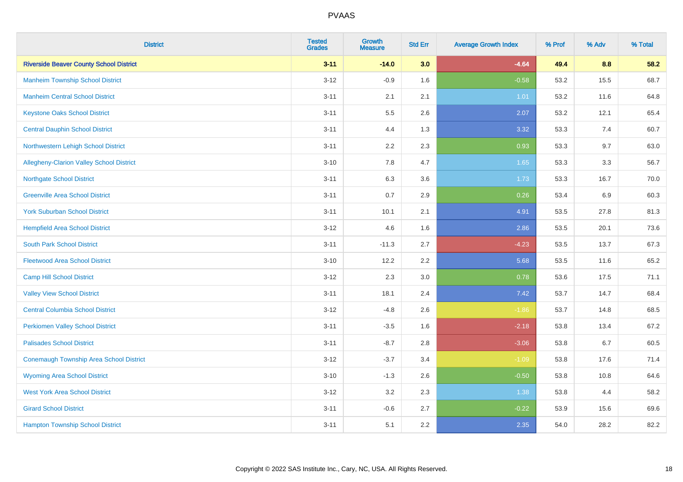| <b>District</b>                                 | <b>Tested</b><br><b>Grades</b> | Growth<br><b>Measure</b> | <b>Std Err</b> | <b>Average Growth Index</b> | % Prof | % Adv | % Total |
|-------------------------------------------------|--------------------------------|--------------------------|----------------|-----------------------------|--------|-------|---------|
| <b>Riverside Beaver County School District</b>  | $3 - 11$                       | $-14.0$                  | 3.0            | $-4.64$                     | 49.4   | 8.8   | 58.2    |
| <b>Manheim Township School District</b>         | $3-12$                         | $-0.9$                   | 1.6            | $-0.58$                     | 53.2   | 15.5  | 68.7    |
| <b>Manheim Central School District</b>          | $3 - 11$                       | 2.1                      | 2.1            | 1.01                        | 53.2   | 11.6  | 64.8    |
| <b>Keystone Oaks School District</b>            | $3 - 11$                       | 5.5                      | 2.6            | 2.07                        | 53.2   | 12.1  | 65.4    |
| <b>Central Dauphin School District</b>          | $3 - 11$                       | 4.4                      | 1.3            | 3.32                        | 53.3   | 7.4   | 60.7    |
| Northwestern Lehigh School District             | $3 - 11$                       | 2.2                      | 2.3            | 0.93                        | 53.3   | 9.7   | 63.0    |
| <b>Allegheny-Clarion Valley School District</b> | $3 - 10$                       | 7.8                      | 4.7            | 1.65                        | 53.3   | 3.3   | 56.7    |
| <b>Northgate School District</b>                | $3 - 11$                       | 6.3                      | 3.6            | 1.73                        | 53.3   | 16.7  | 70.0    |
| <b>Greenville Area School District</b>          | $3 - 11$                       | 0.7                      | 2.9            | 0.26                        | 53.4   | 6.9   | 60.3    |
| <b>York Suburban School District</b>            | $3 - 11$                       | 10.1                     | 2.1            | 4.91                        | 53.5   | 27.8  | 81.3    |
| <b>Hempfield Area School District</b>           | $3 - 12$                       | 4.6                      | 1.6            | 2.86                        | 53.5   | 20.1  | 73.6    |
| <b>South Park School District</b>               | $3 - 11$                       | $-11.3$                  | 2.7            | $-4.23$                     | 53.5   | 13.7  | 67.3    |
| <b>Fleetwood Area School District</b>           | $3 - 10$                       | 12.2                     | 2.2            | 5.68                        | 53.5   | 11.6  | 65.2    |
| <b>Camp Hill School District</b>                | $3 - 12$                       | 2.3                      | 3.0            | 0.78                        | 53.6   | 17.5  | 71.1    |
| <b>Valley View School District</b>              | $3 - 11$                       | 18.1                     | 2.4            | 7.42                        | 53.7   | 14.7  | 68.4    |
| <b>Central Columbia School District</b>         | $3-12$                         | $-4.8$                   | 2.6            | $-1.86$                     | 53.7   | 14.8  | 68.5    |
| <b>Perkiomen Valley School District</b>         | $3 - 11$                       | $-3.5$                   | 1.6            | $-2.18$                     | 53.8   | 13.4  | 67.2    |
| <b>Palisades School District</b>                | $3 - 11$                       | $-8.7$                   | 2.8            | $-3.06$                     | 53.8   | 6.7   | 60.5    |
| <b>Conemaugh Township Area School District</b>  | $3-12$                         | $-3.7$                   | 3.4            | $-1.09$                     | 53.8   | 17.6  | 71.4    |
| <b>Wyoming Area School District</b>             | $3 - 10$                       | $-1.3$                   | 2.6            | $-0.50$                     | 53.8   | 10.8  | 64.6    |
| <b>West York Area School District</b>           | $3 - 12$                       | 3.2                      | 2.3            | 1.38                        | 53.8   | 4.4   | 58.2    |
| <b>Girard School District</b>                   | $3 - 11$                       | $-0.6$                   | 2.7            | $-0.22$                     | 53.9   | 15.6  | 69.6    |
| <b>Hampton Township School District</b>         | $3 - 11$                       | 5.1                      | 2.2            | 2.35                        | 54.0   | 28.2  | 82.2    |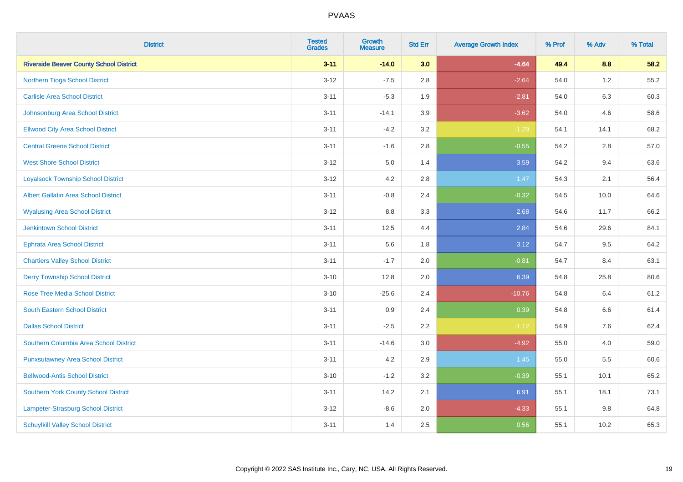| <b>District</b>                                | <b>Tested</b><br><b>Grades</b> | <b>Growth</b><br><b>Measure</b> | <b>Std Err</b> | <b>Average Growth Index</b> | % Prof | % Adv   | % Total |
|------------------------------------------------|--------------------------------|---------------------------------|----------------|-----------------------------|--------|---------|---------|
| <b>Riverside Beaver County School District</b> | $3 - 11$                       | $-14.0$                         | 3.0            | $-4.64$                     | 49.4   | 8.8     | 58.2    |
| Northern Tioga School District                 | $3 - 12$                       | $-7.5$                          | 2.8            | $-2.64$                     | 54.0   | $1.2\,$ | 55.2    |
| <b>Carlisle Area School District</b>           | $3 - 11$                       | $-5.3$                          | 1.9            | $-2.81$                     | 54.0   | 6.3     | 60.3    |
| Johnsonburg Area School District               | $3 - 11$                       | $-14.1$                         | 3.9            | $-3.62$                     | 54.0   | 4.6     | 58.6    |
| <b>Ellwood City Area School District</b>       | $3 - 11$                       | $-4.2$                          | 3.2            | $-1.29$                     | 54.1   | 14.1    | 68.2    |
| <b>Central Greene School District</b>          | $3 - 11$                       | $-1.6$                          | 2.8            | $-0.55$                     | 54.2   | 2.8     | 57.0    |
| <b>West Shore School District</b>              | $3 - 12$                       | 5.0                             | 1.4            | 3.59                        | 54.2   | 9.4     | 63.6    |
| <b>Loyalsock Township School District</b>      | $3 - 12$                       | 4.2                             | 2.8            | 1.47                        | 54.3   | 2.1     | 56.4    |
| <b>Albert Gallatin Area School District</b>    | $3 - 11$                       | $-0.8$                          | 2.4            | $-0.32$                     | 54.5   | 10.0    | 64.6    |
| <b>Wyalusing Area School District</b>          | $3 - 12$                       | 8.8                             | 3.3            | 2.68                        | 54.6   | 11.7    | 66.2    |
| Jenkintown School District                     | $3 - 11$                       | 12.5                            | 4.4            | 2.84                        | 54.6   | 29.6    | 84.1    |
| <b>Ephrata Area School District</b>            | $3 - 11$                       | 5.6                             | 1.8            | 3.12                        | 54.7   | 9.5     | 64.2    |
| <b>Chartiers Valley School District</b>        | $3 - 11$                       | $-1.7$                          | 2.0            | $-0.81$                     | 54.7   | 8.4     | 63.1    |
| <b>Derry Township School District</b>          | $3 - 10$                       | 12.8                            | 2.0            | 6.39                        | 54.8   | 25.8    | 80.6    |
| <b>Rose Tree Media School District</b>         | $3 - 10$                       | $-25.6$                         | 2.4            | $-10.76$                    | 54.8   | 6.4     | 61.2    |
| <b>South Eastern School District</b>           | $3 - 11$                       | 0.9                             | 2.4            | 0.39                        | 54.8   | 6.6     | 61.4    |
| <b>Dallas School District</b>                  | $3 - 11$                       | $-2.5$                          | 2.2            | $-1.12$                     | 54.9   | 7.6     | 62.4    |
| Southern Columbia Area School District         | $3 - 11$                       | $-14.6$                         | 3.0            | $-4.92$                     | 55.0   | 4.0     | 59.0    |
| <b>Punxsutawney Area School District</b>       | $3 - 11$                       | 4.2                             | 2.9            | 1.45                        | 55.0   | 5.5     | 60.6    |
| <b>Bellwood-Antis School District</b>          | $3 - 10$                       | $-1.2$                          | 3.2            | $-0.39$                     | 55.1   | 10.1    | 65.2    |
| <b>Southern York County School District</b>    | $3 - 11$                       | 14.2                            | 2.1            | 6.91                        | 55.1   | 18.1    | 73.1    |
| Lampeter-Strasburg School District             | $3 - 12$                       | $-8.6$                          | 2.0            | $-4.33$                     | 55.1   | $9.8\,$ | 64.8    |
| <b>Schuylkill Valley School District</b>       | $3 - 11$                       | 1.4                             | 2.5            | 0.56                        | 55.1   | 10.2    | 65.3    |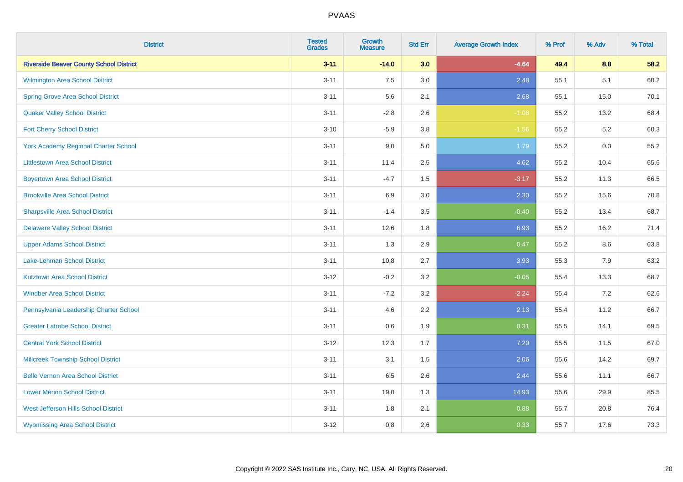| <b>District</b>                                | <b>Tested</b><br><b>Grades</b> | <b>Growth</b><br><b>Measure</b> | <b>Std Err</b> | <b>Average Growth Index</b> | % Prof | % Adv | % Total |
|------------------------------------------------|--------------------------------|---------------------------------|----------------|-----------------------------|--------|-------|---------|
| <b>Riverside Beaver County School District</b> | $3 - 11$                       | $-14.0$                         | 3.0            | $-4.64$                     | 49.4   | 8.8   | 58.2    |
| <b>Wilmington Area School District</b>         | $3 - 11$                       | 7.5                             | $3.0\,$        | 2.48                        | 55.1   | 5.1   | 60.2    |
| <b>Spring Grove Area School District</b>       | $3 - 11$                       | 5.6                             | 2.1            | 2.68                        | 55.1   | 15.0  | 70.1    |
| <b>Quaker Valley School District</b>           | $3 - 11$                       | $-2.8$                          | 2.6            | $-1.08$                     | 55.2   | 13.2  | 68.4    |
| <b>Fort Cherry School District</b>             | $3 - 10$                       | $-5.9$                          | 3.8            | $-1.56$                     | 55.2   | 5.2   | 60.3    |
| <b>York Academy Regional Charter School</b>    | $3 - 11$                       | 9.0                             | 5.0            | 1.79                        | 55.2   | 0.0   | 55.2    |
| <b>Littlestown Area School District</b>        | $3 - 11$                       | 11.4                            | 2.5            | 4.62                        | 55.2   | 10.4  | 65.6    |
| <b>Boyertown Area School District</b>          | $3 - 11$                       | $-4.7$                          | 1.5            | $-3.17$                     | 55.2   | 11.3  | 66.5    |
| <b>Brookville Area School District</b>         | $3 - 11$                       | 6.9                             | 3.0            | 2.30                        | 55.2   | 15.6  | 70.8    |
| <b>Sharpsville Area School District</b>        | $3 - 11$                       | $-1.4$                          | 3.5            | $-0.40$                     | 55.2   | 13.4  | 68.7    |
| <b>Delaware Valley School District</b>         | $3 - 11$                       | 12.6                            | 1.8            | 6.93                        | 55.2   | 16.2  | 71.4    |
| <b>Upper Adams School District</b>             | $3 - 11$                       | 1.3                             | 2.9            | 0.47                        | 55.2   | 8.6   | 63.8    |
| Lake-Lehman School District                    | $3 - 11$                       | 10.8                            | 2.7            | 3.93                        | 55.3   | 7.9   | 63.2    |
| <b>Kutztown Area School District</b>           | $3 - 12$                       | $-0.2$                          | 3.2            | $-0.05$                     | 55.4   | 13.3  | 68.7    |
| <b>Windber Area School District</b>            | $3 - 11$                       | $-7.2$                          | 3.2            | $-2.24$                     | 55.4   | 7.2   | 62.6    |
| Pennsylvania Leadership Charter School         | $3 - 11$                       | 4.6                             | 2.2            | 2.13                        | 55.4   | 11.2  | 66.7    |
| <b>Greater Latrobe School District</b>         | $3 - 11$                       | 0.6                             | 1.9            | 0.31                        | 55.5   | 14.1  | 69.5    |
| <b>Central York School District</b>            | $3 - 12$                       | 12.3                            | 1.7            | 7.20                        | 55.5   | 11.5  | 67.0    |
| <b>Millcreek Township School District</b>      | $3 - 11$                       | 3.1                             | $1.5\,$        | 2.06                        | 55.6   | 14.2  | 69.7    |
| <b>Belle Vernon Area School District</b>       | $3 - 11$                       | 6.5                             | 2.6            | 2.44                        | 55.6   | 11.1  | 66.7    |
| <b>Lower Merion School District</b>            | $3 - 11$                       | 19.0                            | 1.3            | 14.93                       | 55.6   | 29.9  | 85.5    |
| West Jefferson Hills School District           | $3 - 11$                       | 1.8                             | 2.1            | 0.88                        | 55.7   | 20.8  | 76.4    |
| <b>Wyomissing Area School District</b>         | $3 - 12$                       | 0.8                             | 2.6            | 0.33                        | 55.7   | 17.6  | 73.3    |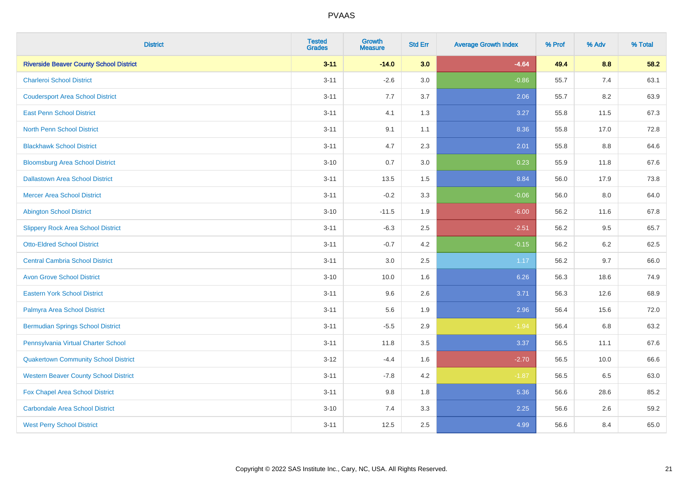| <b>District</b>                                | <b>Tested</b><br><b>Grades</b> | <b>Growth</b><br><b>Measure</b> | <b>Std Err</b> | <b>Average Growth Index</b> | % Prof | % Adv | % Total |
|------------------------------------------------|--------------------------------|---------------------------------|----------------|-----------------------------|--------|-------|---------|
| <b>Riverside Beaver County School District</b> | $3 - 11$                       | $-14.0$                         | 3.0            | $-4.64$                     | 49.4   | 8.8   | 58.2    |
| <b>Charleroi School District</b>               | $3 - 11$                       | $-2.6$                          | 3.0            | $-0.86$                     | 55.7   | 7.4   | 63.1    |
| <b>Coudersport Area School District</b>        | $3 - 11$                       | 7.7                             | 3.7            | 2.06                        | 55.7   | 8.2   | 63.9    |
| <b>East Penn School District</b>               | $3 - 11$                       | 4.1                             | 1.3            | 3.27                        | 55.8   | 11.5  | 67.3    |
| <b>North Penn School District</b>              | $3 - 11$                       | 9.1                             | 1.1            | 8.36                        | 55.8   | 17.0  | 72.8    |
| <b>Blackhawk School District</b>               | $3 - 11$                       | 4.7                             | 2.3            | 2.01                        | 55.8   | 8.8   | 64.6    |
| <b>Bloomsburg Area School District</b>         | $3 - 10$                       | 0.7                             | 3.0            | 0.23                        | 55.9   | 11.8  | 67.6    |
| <b>Dallastown Area School District</b>         | $3 - 11$                       | 13.5                            | 1.5            | 8.84                        | 56.0   | 17.9  | 73.8    |
| <b>Mercer Area School District</b>             | $3 - 11$                       | $-0.2$                          | 3.3            | $-0.06$                     | 56.0   | 8.0   | 64.0    |
| <b>Abington School District</b>                | $3 - 10$                       | $-11.5$                         | 1.9            | $-6.00$                     | 56.2   | 11.6  | 67.8    |
| <b>Slippery Rock Area School District</b>      | $3 - 11$                       | $-6.3$                          | 2.5            | $-2.51$                     | 56.2   | 9.5   | 65.7    |
| <b>Otto-Eldred School District</b>             | $3 - 11$                       | $-0.7$                          | 4.2            | $-0.15$                     | 56.2   | 6.2   | 62.5    |
| <b>Central Cambria School District</b>         | $3 - 11$                       | $3.0\,$                         | 2.5            | 1.17                        | 56.2   | 9.7   | 66.0    |
| <b>Avon Grove School District</b>              | $3 - 10$                       | 10.0                            | 1.6            | 6.26                        | 56.3   | 18.6  | 74.9    |
| <b>Eastern York School District</b>            | $3 - 11$                       | 9.6                             | 2.6            | 3.71                        | 56.3   | 12.6  | 68.9    |
| Palmyra Area School District                   | $3 - 11$                       | 5.6                             | 1.9            | 2.96                        | 56.4   | 15.6  | 72.0    |
| <b>Bermudian Springs School District</b>       | $3 - 11$                       | $-5.5$                          | 2.9            | $-1.94$                     | 56.4   | 6.8   | 63.2    |
| Pennsylvania Virtual Charter School            | $3 - 11$                       | 11.8                            | 3.5            | 3.37                        | 56.5   | 11.1  | 67.6    |
| <b>Quakertown Community School District</b>    | $3-12$                         | $-4.4$                          | 1.6            | $-2.70$                     | 56.5   | 10.0  | 66.6    |
| <b>Western Beaver County School District</b>   | $3 - 11$                       | $-7.8$                          | 4.2            | $-1.87$                     | 56.5   | 6.5   | 63.0    |
| Fox Chapel Area School District                | $3 - 11$                       | 9.8                             | 1.8            | 5.36                        | 56.6   | 28.6  | 85.2    |
| <b>Carbondale Area School District</b>         | $3 - 10$                       | 7.4                             | 3.3            | 2.25                        | 56.6   | 2.6   | 59.2    |
| <b>West Perry School District</b>              | $3 - 11$                       | 12.5                            | 2.5            | 4.99                        | 56.6   | 8.4   | 65.0    |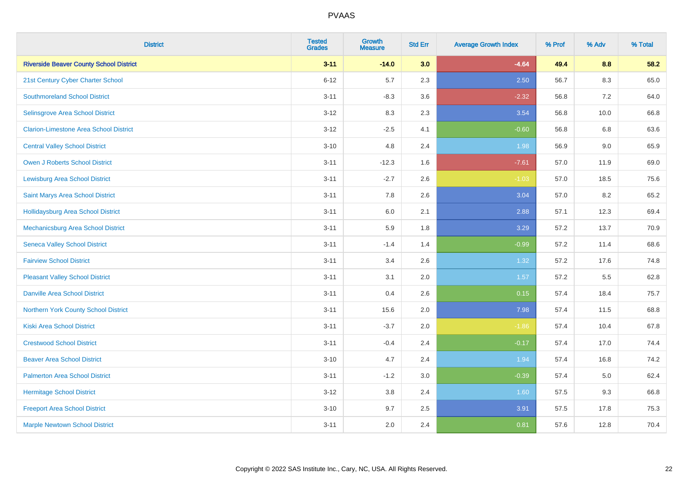| <b>District</b>                                | <b>Tested</b><br><b>Grades</b> | <b>Growth</b><br><b>Measure</b> | <b>Std Err</b> | <b>Average Growth Index</b> | % Prof | % Adv   | % Total |
|------------------------------------------------|--------------------------------|---------------------------------|----------------|-----------------------------|--------|---------|---------|
| <b>Riverside Beaver County School District</b> | $3 - 11$                       | $-14.0$                         | 3.0            | $-4.64$                     | 49.4   | 8.8     | 58.2    |
| 21st Century Cyber Charter School              | $6 - 12$                       | 5.7                             | 2.3            | 2.50                        | 56.7   | $8.3\,$ | 65.0    |
| <b>Southmoreland School District</b>           | $3 - 11$                       | $-8.3$                          | 3.6            | $-2.32$                     | 56.8   | 7.2     | 64.0    |
| Selinsgrove Area School District               | $3 - 12$                       | 8.3                             | 2.3            | 3.54                        | 56.8   | 10.0    | 66.8    |
| <b>Clarion-Limestone Area School District</b>  | $3 - 12$                       | $-2.5$                          | 4.1            | $-0.60$                     | 56.8   | 6.8     | 63.6    |
| <b>Central Valley School District</b>          | $3 - 10$                       | 4.8                             | 2.4            | 1.98                        | 56.9   | 9.0     | 65.9    |
| Owen J Roberts School District                 | $3 - 11$                       | $-12.3$                         | 1.6            | $-7.61$                     | 57.0   | 11.9    | 69.0    |
| <b>Lewisburg Area School District</b>          | $3 - 11$                       | $-2.7$                          | 2.6            | $-1.03$                     | 57.0   | 18.5    | 75.6    |
| Saint Marys Area School District               | $3 - 11$                       | 7.8                             | 2.6            | 3.04                        | 57.0   | 8.2     | 65.2    |
| <b>Hollidaysburg Area School District</b>      | $3 - 11$                       | 6.0                             | 2.1            | 2.88                        | 57.1   | 12.3    | 69.4    |
| <b>Mechanicsburg Area School District</b>      | $3 - 11$                       | 5.9                             | 1.8            | 3.29                        | 57.2   | 13.7    | 70.9    |
| <b>Seneca Valley School District</b>           | $3 - 11$                       | $-1.4$                          | 1.4            | $-0.99$                     | 57.2   | 11.4    | 68.6    |
| <b>Fairview School District</b>                | $3 - 11$                       | 3.4                             | 2.6            | 1.32                        | 57.2   | 17.6    | 74.8    |
| <b>Pleasant Valley School District</b>         | $3 - 11$                       | 3.1                             | 2.0            | 1.57                        | 57.2   | 5.5     | 62.8    |
| <b>Danville Area School District</b>           | $3 - 11$                       | 0.4                             | 2.6            | 0.15                        | 57.4   | 18.4    | 75.7    |
| <b>Northern York County School District</b>    | $3 - 11$                       | 15.6                            | 2.0            | 7.98                        | 57.4   | 11.5    | 68.8    |
| <b>Kiski Area School District</b>              | $3 - 11$                       | $-3.7$                          | 2.0            | $-1.86$                     | 57.4   | 10.4    | 67.8    |
| <b>Crestwood School District</b>               | $3 - 11$                       | $-0.4$                          | 2.4            | $-0.17$                     | 57.4   | 17.0    | 74.4    |
| <b>Beaver Area School District</b>             | $3 - 10$                       | 4.7                             | 2.4            | 1.94                        | 57.4   | 16.8    | 74.2    |
| <b>Palmerton Area School District</b>          | $3 - 11$                       | $-1.2$                          | 3.0            | $-0.39$                     | 57.4   | 5.0     | 62.4    |
| <b>Hermitage School District</b>               | $3 - 12$                       | 3.8                             | 2.4            | 1.60                        | 57.5   | 9.3     | 66.8    |
| <b>Freeport Area School District</b>           | $3 - 10$                       | 9.7                             | 2.5            | 3.91                        | 57.5   | 17.8    | 75.3    |
| <b>Marple Newtown School District</b>          | $3 - 11$                       | 2.0                             | 2.4            | 0.81                        | 57.6   | 12.8    | 70.4    |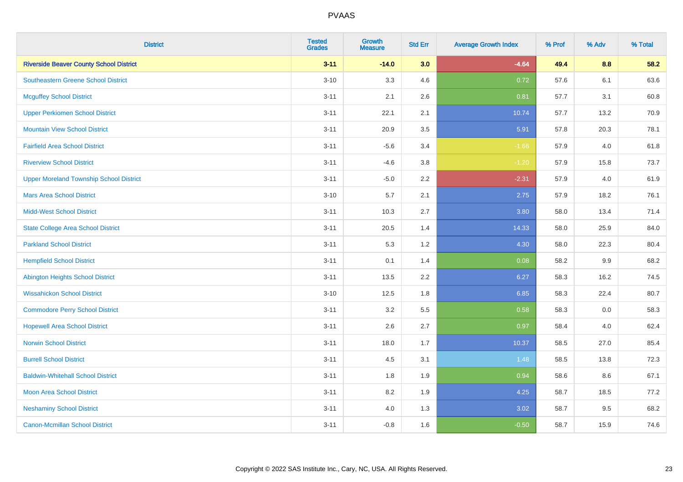| <b>District</b>                                | <b>Tested</b><br><b>Grades</b> | <b>Growth</b><br><b>Measure</b> | <b>Std Err</b> | <b>Average Growth Index</b> | % Prof | % Adv   | % Total |
|------------------------------------------------|--------------------------------|---------------------------------|----------------|-----------------------------|--------|---------|---------|
| <b>Riverside Beaver County School District</b> | $3 - 11$                       | $-14.0$                         | 3.0            | $-4.64$                     | 49.4   | 8.8     | 58.2    |
| <b>Southeastern Greene School District</b>     | $3 - 10$                       | 3.3                             | 4.6            | 0.72                        | 57.6   | 6.1     | 63.6    |
| <b>Mcguffey School District</b>                | $3 - 11$                       | 2.1                             | 2.6            | 0.81                        | 57.7   | 3.1     | 60.8    |
| <b>Upper Perkiomen School District</b>         | $3 - 11$                       | 22.1                            | 2.1            | 10.74                       | 57.7   | 13.2    | 70.9    |
| <b>Mountain View School District</b>           | $3 - 11$                       | 20.9                            | 3.5            | 5.91                        | 57.8   | 20.3    | 78.1    |
| <b>Fairfield Area School District</b>          | $3 - 11$                       | $-5.6$                          | 3.4            | $-1.66$                     | 57.9   | 4.0     | 61.8    |
| <b>Riverview School District</b>               | $3 - 11$                       | $-4.6$                          | 3.8            | $-1.20$                     | 57.9   | 15.8    | 73.7    |
| <b>Upper Moreland Township School District</b> | $3 - 11$                       | $-5.0$                          | 2.2            | $-2.31$                     | 57.9   | 4.0     | 61.9    |
| <b>Mars Area School District</b>               | $3 - 10$                       | 5.7                             | 2.1            | 2.75                        | 57.9   | 18.2    | 76.1    |
| <b>Midd-West School District</b>               | $3 - 11$                       | 10.3                            | 2.7            | 3.80                        | 58.0   | 13.4    | 71.4    |
| <b>State College Area School District</b>      | $3 - 11$                       | 20.5                            | 1.4            | 14.33                       | 58.0   | 25.9    | 84.0    |
| <b>Parkland School District</b>                | $3 - 11$                       | 5.3                             | 1.2            | 4.30                        | 58.0   | 22.3    | 80.4    |
| <b>Hempfield School District</b>               | $3 - 11$                       | 0.1                             | 1.4            | 0.08                        | 58.2   | $9.9\,$ | 68.2    |
| <b>Abington Heights School District</b>        | $3 - 11$                       | 13.5                            | 2.2            | 6.27                        | 58.3   | 16.2    | 74.5    |
| <b>Wissahickon School District</b>             | $3 - 10$                       | 12.5                            | 1.8            | 6.85                        | 58.3   | 22.4    | 80.7    |
| <b>Commodore Perry School District</b>         | $3 - 11$                       | 3.2                             | 5.5            | 0.58                        | 58.3   | 0.0     | 58.3    |
| <b>Hopewell Area School District</b>           | $3 - 11$                       | 2.6                             | 2.7            | 0.97                        | 58.4   | 4.0     | 62.4    |
| <b>Norwin School District</b>                  | $3 - 11$                       | 18.0                            | 1.7            | 10.37                       | 58.5   | 27.0    | 85.4    |
| <b>Burrell School District</b>                 | $3 - 11$                       | 4.5                             | 3.1            | 1.48                        | 58.5   | 13.8    | 72.3    |
| <b>Baldwin-Whitehall School District</b>       | $3 - 11$                       | 1.8                             | 1.9            | 0.94                        | 58.6   | 8.6     | 67.1    |
| <b>Moon Area School District</b>               | $3 - 11$                       | 8.2                             | 1.9            | 4.25                        | 58.7   | 18.5    | 77.2    |
| <b>Neshaminy School District</b>               | $3 - 11$                       | 4.0                             | 1.3            | 3.02                        | 58.7   | 9.5     | 68.2    |
| <b>Canon-Mcmillan School District</b>          | $3 - 11$                       | $-0.8$                          | 1.6            | $-0.50$                     | 58.7   | 15.9    | 74.6    |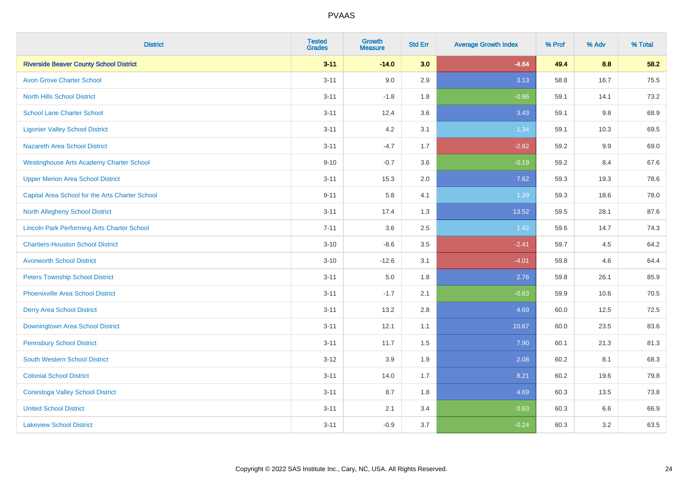| <b>District</b>                                    | <b>Tested</b><br><b>Grades</b> | <b>Growth</b><br><b>Measure</b> | <b>Std Err</b> | <b>Average Growth Index</b> | % Prof | % Adv | % Total |
|----------------------------------------------------|--------------------------------|---------------------------------|----------------|-----------------------------|--------|-------|---------|
| <b>Riverside Beaver County School District</b>     | $3 - 11$                       | $-14.0$                         | 3.0            | $-4.64$                     | 49.4   | 8.8   | 58.2    |
| <b>Avon Grove Charter School</b>                   | $3 - 11$                       | 9.0                             | 2.9            | 3.13                        | 58.8   | 16.7  | 75.5    |
| <b>North Hills School District</b>                 | $3 - 11$                       | $-1.8$                          | 1.8            | $-0.96$                     | 59.1   | 14.1  | 73.2    |
| <b>School Lane Charter School</b>                  | $3 - 11$                       | 12.4                            | 3.6            | 3.43                        | 59.1   | 9.8   | 68.9    |
| <b>Ligonier Valley School District</b>             | $3 - 11$                       | 4.2                             | 3.1            | 1.34                        | 59.1   | 10.3  | 69.5    |
| <b>Nazareth Area School District</b>               | $3 - 11$                       | $-4.7$                          | 1.7            | $-2.82$                     | 59.2   | 9.9   | 69.0    |
| <b>Westinghouse Arts Academy Charter School</b>    | $9 - 10$                       | $-0.7$                          | 3.6            | $-0.19$                     | 59.2   | 8.4   | 67.6    |
| <b>Upper Merion Area School District</b>           | $3 - 11$                       | 15.3                            | 2.0            | 7.62                        | 59.3   | 19.3  | 78.6    |
| Capital Area School for the Arts Charter School    | $9 - 11$                       | 5.8                             | 4.1            | 1.39                        | 59.3   | 18.6  | 78.0    |
| <b>North Allegheny School District</b>             | $3 - 11$                       | 17.4                            | 1.3            | 13.52                       | 59.5   | 28.1  | 87.6    |
| <b>Lincoln Park Performing Arts Charter School</b> | $7 - 11$                       | 3.6                             | 2.5            | 1.42                        | 59.6   | 14.7  | 74.3    |
| <b>Chartiers-Houston School District</b>           | $3 - 10$                       | $-8.6$                          | 3.5            | $-2.41$                     | 59.7   | 4.5   | 64.2    |
| <b>Avonworth School District</b>                   | $3 - 10$                       | $-12.6$                         | 3.1            | $-4.01$                     | 59.8   | 4.6   | 64.4    |
| <b>Peters Township School District</b>             | $3 - 11$                       | 5.0                             | 1.8            | 2.76                        | 59.8   | 26.1  | 85.9    |
| <b>Phoenixville Area School District</b>           | $3 - 11$                       | $-1.7$                          | 2.1            | $-0.83$                     | 59.9   | 10.6  | 70.5    |
| <b>Derry Area School District</b>                  | $3 - 11$                       | 13.2                            | 2.8            | 4.69                        | 60.0   | 12.5  | 72.5    |
| Downingtown Area School District                   | $3 - 11$                       | 12.1                            | 1.1            | 10.67                       | 60.0   | 23.5  | 83.6    |
| <b>Pennsbury School District</b>                   | $3 - 11$                       | 11.7                            | 1.5            | 7.90                        | 60.1   | 21.3  | 81.3    |
| <b>South Western School District</b>               | $3 - 12$                       | 3.9                             | 1.9            | 2.08                        | 60.2   | 8.1   | 68.3    |
| <b>Colonial School District</b>                    | $3 - 11$                       | 14.0                            | 1.7            | 8.21                        | 60.2   | 19.6  | 79.8    |
| <b>Conestoga Valley School District</b>            | $3 - 11$                       | 8.7                             | 1.8            | 4.69                        | 60.3   | 13.5  | 73.8    |
| <b>United School District</b>                      | $3 - 11$                       | 2.1                             | 3.4            | 0.63                        | 60.3   | 6.6   | 66.9    |
| <b>Lakeview School District</b>                    | $3 - 11$                       | $-0.9$                          | 3.7            | $-0.24$                     | 60.3   | 3.2   | 63.5    |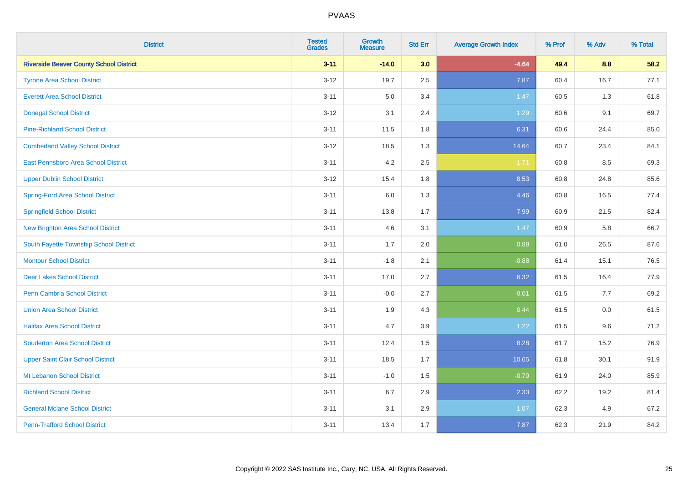| <b>District</b>                                | <b>Tested</b><br><b>Grades</b> | <b>Growth</b><br><b>Measure</b> | <b>Std Err</b> | <b>Average Growth Index</b> | % Prof | % Adv   | % Total |
|------------------------------------------------|--------------------------------|---------------------------------|----------------|-----------------------------|--------|---------|---------|
| <b>Riverside Beaver County School District</b> | $3 - 11$                       | $-14.0$                         | 3.0            | $-4.64$                     | 49.4   | 8.8     | 58.2    |
| <b>Tyrone Area School District</b>             | $3 - 12$                       | 19.7                            | 2.5            | 7.87                        | 60.4   | 16.7    | 77.1    |
| <b>Everett Area School District</b>            | $3 - 11$                       | 5.0                             | 3.4            | 1.47                        | 60.5   | 1.3     | 61.8    |
| <b>Donegal School District</b>                 | $3 - 12$                       | 3.1                             | 2.4            | 1.29                        | 60.6   | 9.1     | 69.7    |
| <b>Pine-Richland School District</b>           | $3 - 11$                       | 11.5                            | 1.8            | 6.31                        | 60.6   | 24.4    | 85.0    |
| <b>Cumberland Valley School District</b>       | $3 - 12$                       | 18.5                            | 1.3            | 14.64                       | 60.7   | 23.4    | 84.1    |
| East Pennsboro Area School District            | $3 - 11$                       | $-4.2$                          | 2.5            | $-1.71$                     | 60.8   | 8.5     | 69.3    |
| <b>Upper Dublin School District</b>            | $3 - 12$                       | 15.4                            | 1.8            | 8.53                        | 60.8   | 24.8    | 85.6    |
| Spring-Ford Area School District               | $3 - 11$                       | 6.0                             | 1.3            | 4.46                        | 60.8   | 16.5    | 77.4    |
| <b>Springfield School District</b>             | $3 - 11$                       | 13.8                            | 1.7            | 7.99                        | 60.9   | 21.5    | 82.4    |
| <b>New Brighton Area School District</b>       | $3 - 11$                       | 4.6                             | 3.1            | 1.47                        | 60.9   | 5.8     | 66.7    |
| South Fayette Township School District         | $3 - 11$                       | 1.7                             | 2.0            | 0.88                        | 61.0   | 26.5    | 87.6    |
| <b>Montour School District</b>                 | $3 - 11$                       | $-1.8$                          | 2.1            | $-0.88$                     | 61.4   | 15.1    | 76.5    |
| <b>Deer Lakes School District</b>              | $3 - 11$                       | 17.0                            | 2.7            | 6.32                        | 61.5   | 16.4    | 77.9    |
| Penn Cambria School District                   | $3 - 11$                       | $-0.0$                          | 2.7            | $-0.01$                     | 61.5   | 7.7     | 69.2    |
| <b>Union Area School District</b>              | $3 - 11$                       | 1.9                             | 4.3            | 0.44                        | 61.5   | $0.0\,$ | 61.5    |
| <b>Halifax Area School District</b>            | $3 - 11$                       | 4.7                             | 3.9            | 1.22                        | 61.5   | 9.6     | 71.2    |
| <b>Souderton Area School District</b>          | $3 - 11$                       | 12.4                            | 1.5            | 8.28                        | 61.7   | 15.2    | 76.9    |
| <b>Upper Saint Clair School District</b>       | $3 - 11$                       | 18.5                            | 1.7            | 10.65                       | 61.8   | 30.1    | 91.9    |
| Mt Lebanon School District                     | $3 - 11$                       | $-1.0$                          | 1.5            | $-0.70$                     | 61.9   | 24.0    | 85.9    |
| <b>Richland School District</b>                | $3 - 11$                       | 6.7                             | 2.9            | 2.33                        | 62.2   | 19.2    | 81.4    |
| <b>General Mclane School District</b>          | $3 - 11$                       | 3.1                             | 2.9            | 1.07                        | 62.3   | 4.9     | 67.2    |
| <b>Penn-Trafford School District</b>           | $3 - 11$                       | 13.4                            | 1.7            | 7.87                        | 62.3   | 21.9    | 84.2    |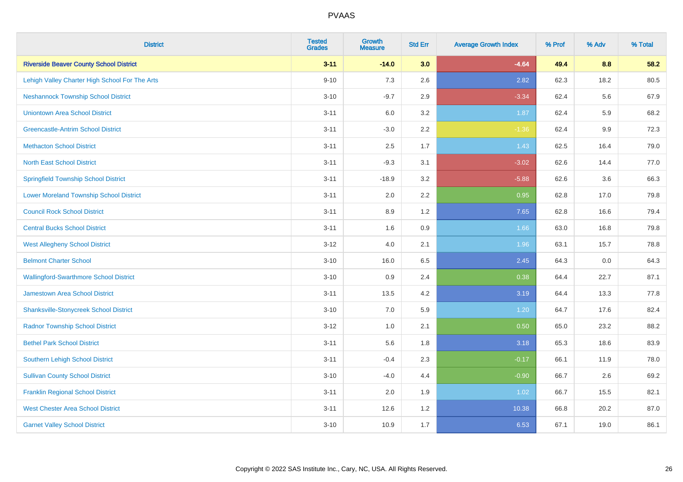| <b>District</b>                                | <b>Tested</b><br><b>Grades</b> | <b>Growth</b><br><b>Measure</b> | <b>Std Err</b> | <b>Average Growth Index</b> | % Prof | % Adv | % Total |
|------------------------------------------------|--------------------------------|---------------------------------|----------------|-----------------------------|--------|-------|---------|
| <b>Riverside Beaver County School District</b> | $3 - 11$                       | $-14.0$                         | 3.0            | $-4.64$                     | 49.4   | 8.8   | 58.2    |
| Lehigh Valley Charter High School For The Arts | $9 - 10$                       | 7.3                             | 2.6            | 2.82                        | 62.3   | 18.2  | 80.5    |
| <b>Neshannock Township School District</b>     | $3 - 10$                       | $-9.7$                          | 2.9            | $-3.34$                     | 62.4   | 5.6   | 67.9    |
| <b>Uniontown Area School District</b>          | $3 - 11$                       | 6.0                             | 3.2            | 1.87                        | 62.4   | 5.9   | 68.2    |
| <b>Greencastle-Antrim School District</b>      | $3 - 11$                       | $-3.0$                          | 2.2            | $-1.36$                     | 62.4   | 9.9   | 72.3    |
| <b>Methacton School District</b>               | $3 - 11$                       | 2.5                             | 1.7            | 1.43                        | 62.5   | 16.4  | 79.0    |
| <b>North East School District</b>              | $3 - 11$                       | $-9.3$                          | 3.1            | $-3.02$                     | 62.6   | 14.4  | 77.0    |
| <b>Springfield Township School District</b>    | $3 - 11$                       | $-18.9$                         | 3.2            | $-5.88$                     | 62.6   | 3.6   | 66.3    |
| <b>Lower Moreland Township School District</b> | $3 - 11$                       | 2.0                             | 2.2            | 0.95                        | 62.8   | 17.0  | 79.8    |
| <b>Council Rock School District</b>            | $3 - 11$                       | 8.9                             | 1.2            | 7.65                        | 62.8   | 16.6  | 79.4    |
| <b>Central Bucks School District</b>           | $3 - 11$                       | 1.6                             | 0.9            | 1.66                        | 63.0   | 16.8  | 79.8    |
| <b>West Allegheny School District</b>          | $3 - 12$                       | 4.0                             | 2.1            | 1.96                        | 63.1   | 15.7  | 78.8    |
| <b>Belmont Charter School</b>                  | $3 - 10$                       | 16.0                            | 6.5            | 2.45                        | 64.3   | 0.0   | 64.3    |
| <b>Wallingford-Swarthmore School District</b>  | $3 - 10$                       | 0.9                             | 2.4            | 0.38                        | 64.4   | 22.7  | 87.1    |
| <b>Jamestown Area School District</b>          | $3 - 11$                       | 13.5                            | 4.2            | 3.19                        | 64.4   | 13.3  | 77.8    |
| <b>Shanksville-Stonycreek School District</b>  | $3 - 10$                       | 7.0                             | 5.9            | 1.20                        | 64.7   | 17.6  | 82.4    |
| <b>Radnor Township School District</b>         | $3 - 12$                       | 1.0                             | 2.1            | 0.50                        | 65.0   | 23.2  | 88.2    |
| <b>Bethel Park School District</b>             | $3 - 11$                       | 5.6                             | 1.8            | 3.18                        | 65.3   | 18.6  | 83.9    |
| <b>Southern Lehigh School District</b>         | $3 - 11$                       | $-0.4$                          | 2.3            | $-0.17$                     | 66.1   | 11.9  | 78.0    |
| <b>Sullivan County School District</b>         | $3 - 10$                       | $-4.0$                          | 4.4            | $-0.90$                     | 66.7   | 2.6   | 69.2    |
| <b>Franklin Regional School District</b>       | $3 - 11$                       | 2.0                             | 1.9            | 1.02                        | 66.7   | 15.5  | 82.1    |
| <b>West Chester Area School District</b>       | $3 - 11$                       | 12.6                            | 1.2            | 10.38                       | 66.8   | 20.2  | 87.0    |
| <b>Garnet Valley School District</b>           | $3 - 10$                       | 10.9                            | 1.7            | 6.53                        | 67.1   | 19.0  | 86.1    |